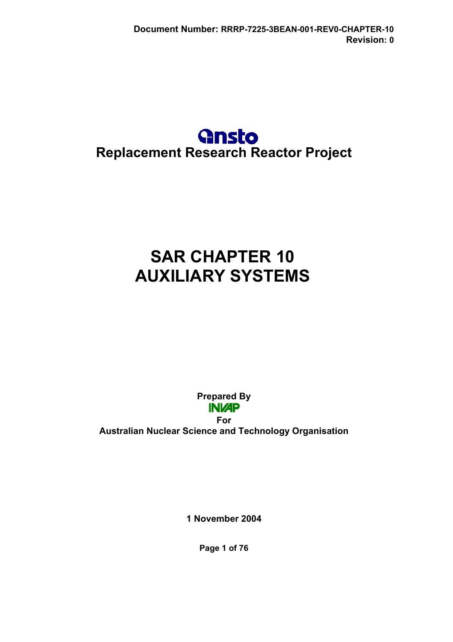# **Gnsto Replacement Research Reactor Project**

# **SAR CHAPTER 10 AUXILIARY SYSTEMS**

**Prepared By INI/AP For Australian Nuclear Science and Technology Organisation** 

**1 November 2004** 

**Page 1 of 76**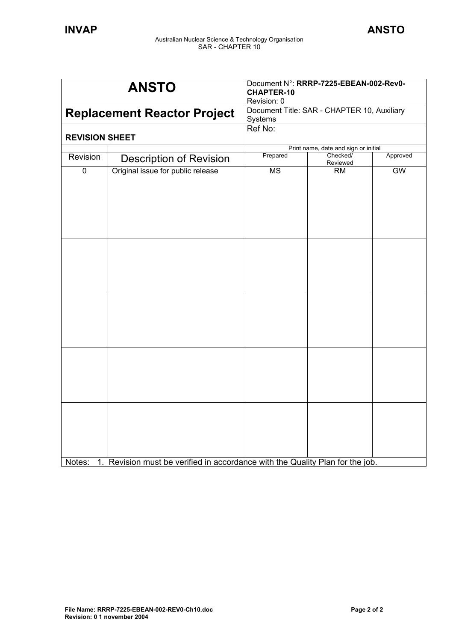| <b>ANSTO</b>                       | <b>CHAPTER-10</b><br>Revision: 0                                    | Document N°: RRRP-7225-EBEAN-002-Rev0- |                                                                                                                                                                                  |
|------------------------------------|---------------------------------------------------------------------|----------------------------------------|----------------------------------------------------------------------------------------------------------------------------------------------------------------------------------|
| <b>Replacement Reactor Project</b> |                                                                     |                                        |                                                                                                                                                                                  |
| <b>REVISION SHEET</b>              | Ref No:                                                             |                                        |                                                                                                                                                                                  |
|                                    |                                                                     |                                        |                                                                                                                                                                                  |
|                                    |                                                                     | Reviewed                               | Approved                                                                                                                                                                         |
|                                    | $\overline{\text{MS}}$                                              | <b>RM</b>                              | GW                                                                                                                                                                               |
|                                    |                                                                     |                                        |                                                                                                                                                                                  |
|                                    | <b>Description of Revision</b><br>Original issue for public release | Systems<br>Prepared                    | Document Title: SAR - CHAPTER 10, Auxiliary<br>Print name, date and sign or initial<br>Checked/<br>1. Revision must be verified in accordance with the Quality Plan for the job. |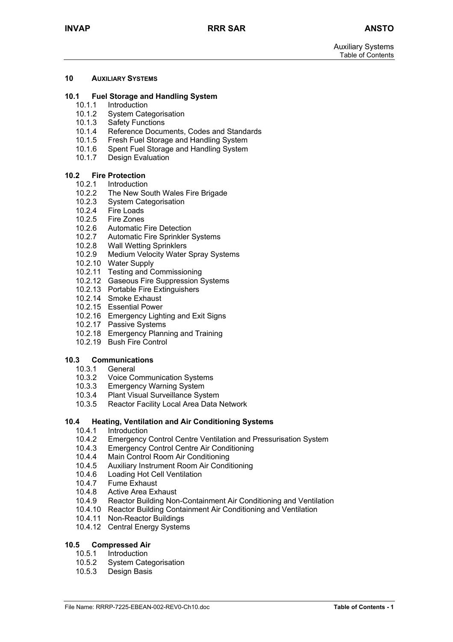#### **10 AUXILIARY SYSTEMS**

#### **10.1 Fuel Storage and Handling System**

- 10.1.1 Introduction
- 10.1.2 System Categorisation
- 10.1.3 Safety Functions
- 10.1.4 Reference Documents, Codes and Standards
- 10.1.5 Fresh Fuel Storage and Handling System
- 10.1.6 Spent Fuel Storage and Handling System<br>10.1.7 Design Evaluation
- Design Evaluation

#### **10.2 Fire Protection**

- 10.2.1 Introduction
- 10.2.2 The New South Wales Fire Brigade
- 10.2.3 System Categorisation
- 10.2.4 Fire Loads
- 10.2.5 Fire Zones
- 10.2.6 Automatic Fire Detection
- 10.2.7 Automatic Fire Sprinkler Systems
- 10.2.8 Wall Wetting Sprinklers
- 10.2.9 Medium Velocity Water Spray Systems
- 10.2.10 Water Supply
- 10.2.11 Testing and Commissioning
- 10.2.12 Gaseous Fire Suppression Systems
- 10.2.13 Portable Fire Extinguishers
- 10.2.14 Smoke Exhaust
- 10.2.15 Essential Power
- 10.2.16 Emergency Lighting and Exit Signs
- 10.2.17 Passive Systems
- 10.2.18 Emergency Planning and Training
- 10.2.19 Bush Fire Control

#### **10.3 Communications**

- 10.3.1 General
- 10.3.2 Voice Communication Systems
- 10.3.3 Emergency Warning System
- 10.3.4 Plant Visual Surveillance System
- 10.3.5 Reactor Facility Local Area Data Network

# **10.4 Heating, Ventilation and Air Conditioning Systems**

- **Introduction**
- 10.4.2 Emergency Control Centre Ventilation and Pressurisation System
- 10.4.3 Emergency Control Centre Air Conditioning<br>10.4.4 Main Control Room Air Conditioning
- 10.4.4 Main Control Room Air Conditioning<br>10.4.5 Auxiliary Instrument Room Air Condi
- 10.4.5 Auxiliary Instrument Room Air Conditioning
- 10.4.6 Loading Hot Cell Ventilation
- 10.4.7 Fume Exhaust
- 10.4.8 Active Area Exhaust
- 10.4.9 Reactor Building Non-Containment Air Conditioning and Ventilation
- 10.4.10 Reactor Building Containment Air Conditioning and Ventilation
- 10.4.11 Non-Reactor Buildings
- 10.4.12 Central Energy Systems

#### **10.5 Compressed Air**

- 10.5.1 Introduction
- 10.5.2 System Categorisation
- 10.5.3 Design Basis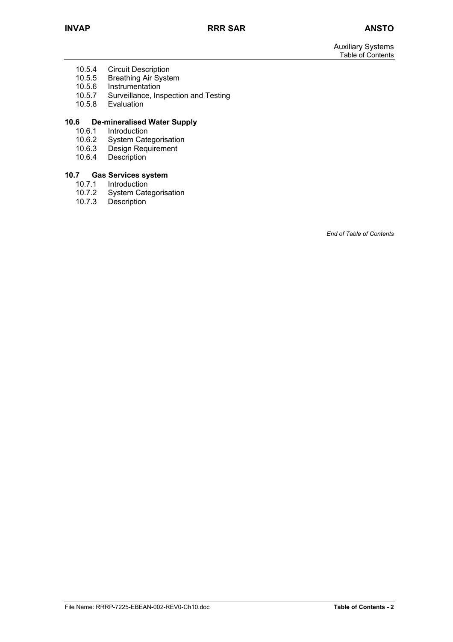- 10.5.4 Circuit Description<br>10.5.5 Breathing Air Syste
- 10.5.5 Breathing Air System<br>10.5.6 Instrumentation
- **Instrumentation**
- 10.5.7 Surveillance, Inspection and Testing<br>10.5.8 Evaluation
- Evaluation

# **10.6 De-mineralised Water Supply**

- 10.6.1 Introduction<br>10.6.2 System Cate
- 10.6.2 System Categorisation<br>10.6.3 Design Requirement
- 10.6.3 Design Requirement<br>10.6.4 Description
- Description

#### **10.7 Gas Services system**

- 10.7.1 Introduction
- 10.7.2 System Categorisation
- 10.7.3 Description

*End of Table of Contents*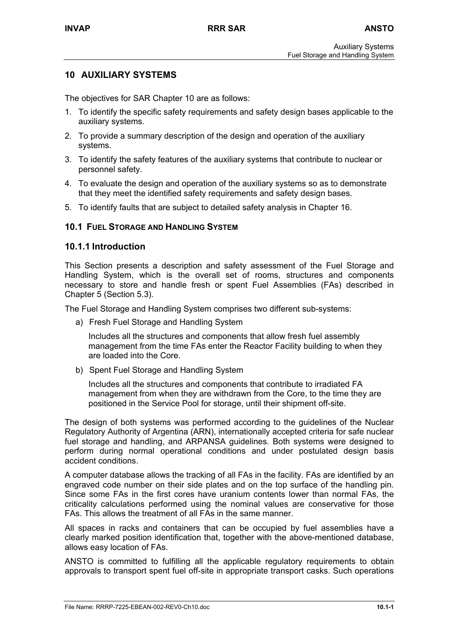# **10 AUXILIARY SYSTEMS**

The objectives for SAR Chapter 10 are as follows:

- 1. To identify the specific safety requirements and safety design bases applicable to the auxiliary systems.
- 2. To provide a summary description of the design and operation of the auxiliary systems.
- 3. To identify the safety features of the auxiliary systems that contribute to nuclear or personnel safety.
- 4. To evaluate the design and operation of the auxiliary systems so as to demonstrate that they meet the identified safety requirements and safety design bases.
- 5. To identify faults that are subject to detailed safety analysis in Chapter 16.

#### **10.1 FUEL STORAGE AND HANDLING SYSTEM**

#### **10.1.1 Introduction**

This Section presents a description and safety assessment of the Fuel Storage and Handling System, which is the overall set of rooms, structures and components necessary to store and handle fresh or spent Fuel Assemblies (FAs) described in Chapter 5 (Section 5.3).

The Fuel Storage and Handling System comprises two different sub-systems:

a) Fresh Fuel Storage and Handling System

Includes all the structures and components that allow fresh fuel assembly management from the time FAs enter the Reactor Facility building to when they are loaded into the Core.

b) Spent Fuel Storage and Handling System

Includes all the structures and components that contribute to irradiated FA management from when they are withdrawn from the Core, to the time they are positioned in the Service Pool for storage, until their shipment off-site.

The design of both systems was performed according to the guidelines of the Nuclear Regulatory Authority of Argentina (ARN), internationally accepted criteria for safe nuclear fuel storage and handling, and ARPANSA guidelines. Both systems were designed to perform during normal operational conditions and under postulated design basis accident conditions.

A computer database allows the tracking of all FAs in the facility. FAs are identified by an engraved code number on their side plates and on the top surface of the handling pin. Since some FAs in the first cores have uranium contents lower than normal FAs, the criticality calculations performed using the nominal values are conservative for those FAs. This allows the treatment of all FAs in the same manner.

All spaces in racks and containers that can be occupied by fuel assemblies have a clearly marked position identification that, together with the above-mentioned database, allows easy location of FAs.

ANSTO is committed to fulfilling all the applicable regulatory requirements to obtain approvals to transport spent fuel off-site in appropriate transport casks. Such operations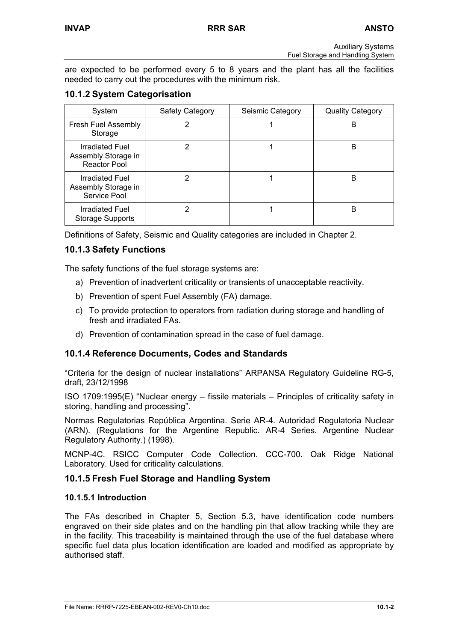are expected to be performed every 5 to 8 years and the plant has all the facilities needed to carry out the procedures with the minimum risk.

# **10.1.2 System Categorisation**

| System                                                        | Safety Category | Seismic Category | <b>Quality Category</b> |
|---------------------------------------------------------------|-----------------|------------------|-------------------------|
| <b>Fresh Fuel Assembly</b><br>Storage                         |                 |                  | в                       |
| Irradiated Fuel<br>Assembly Storage in<br><b>Reactor Pool</b> |                 |                  | B                       |
| Irradiated Fuel<br>Assembly Storage in<br>Service Pool        |                 |                  | B                       |
| <b>Irradiated Fuel</b><br><b>Storage Supports</b>             |                 |                  | в                       |

Definitions of Safety, Seismic and Quality categories are included in Chapter 2.

# **10.1.3 Safety Functions**

The safety functions of the fuel storage systems are:

- a) Prevention of inadvertent criticality or transients of unacceptable reactivity.
- b) Prevention of spent Fuel Assembly (FA) damage.
- c) To provide protection to operators from radiation during storage and handling of fresh and irradiated FAs.
- d) Prevention of contamination spread in the case of fuel damage.

# **10.1.4 Reference Documents, Codes and Standards**

"Criteria for the design of nuclear installations" ARPANSA Regulatory Guideline RG-5, draft, 23/12/1998

ISO 1709:1995(E) "Nuclear energy – fissile materials – Principles of criticality safety in storing, handling and processing".

Normas Regulatorias República Argentina. Serie AR-4. Autoridad Regulatoria Nuclear (ARN). (Regulations for the Argentine Republic. AR-4 Series. Argentine Nuclear Regulatory Authority.) (1998).

MCNP-4C. RSICC Computer Code Collection. CCC-700. Oak Ridge National Laboratory. Used for criticality calculations.

# **10.1.5 Fresh Fuel Storage and Handling System**

# **10.1.5.1 Introduction**

The FAs described in Chapter 5, Section 5.3, have identification code numbers engraved on their side plates and on the handling pin that allow tracking while they are in the facility. This traceability is maintained through the use of the fuel database where specific fuel data plus location identification are loaded and modified as appropriate by authorised staff.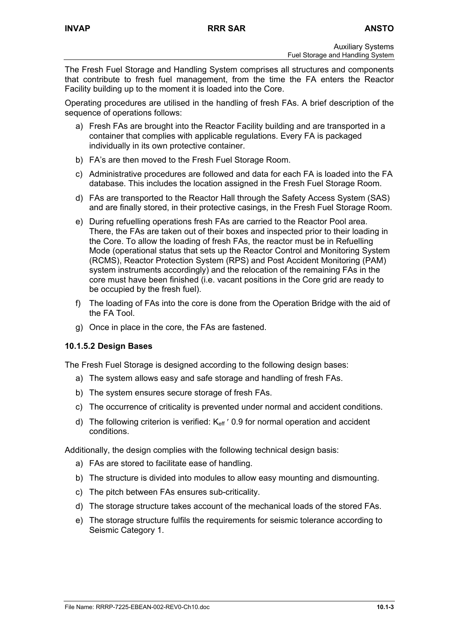The Fresh Fuel Storage and Handling System comprises all structures and components that contribute to fresh fuel management, from the time the FA enters the Reactor Facility building up to the moment it is loaded into the Core.

Operating procedures are utilised in the handling of fresh FAs. A brief description of the sequence of operations follows:

- a) Fresh FAs are brought into the Reactor Facility building and are transported in a container that complies with applicable regulations. Every FA is packaged individually in its own protective container.
- b) FA's are then moved to the Fresh Fuel Storage Room.
- c) Administrative procedures are followed and data for each FA is loaded into the FA database. This includes the location assigned in the Fresh Fuel Storage Room.
- d) FAs are transported to the Reactor Hall through the Safety Access System (SAS) and are finally stored, in their protective casings, in the Fresh Fuel Storage Room.
- e) During refuelling operations fresh FAs are carried to the Reactor Pool area. There, the FAs are taken out of their boxes and inspected prior to their loading in the Core. To allow the loading of fresh FAs, the reactor must be in Refuelling Mode (operational status that sets up the Reactor Control and Monitoring System (RCMS), Reactor Protection System (RPS) and Post Accident Monitoring (PAM) system instruments accordingly) and the relocation of the remaining FAs in the core must have been finished (i.e. vacant positions in the Core grid are ready to be occupied by the fresh fuel).
- f) The loading of FAs into the core is done from the Operation Bridge with the aid of the FA Tool.
- g) Once in place in the core, the FAs are fastened.

# **10.1.5.2 Design Bases**

The Fresh Fuel Storage is designed according to the following design bases:

- a) The system allows easy and safe storage and handling of fresh FAs.
- b) The system ensures secure storage of fresh FAs.
- c) The occurrence of criticality is prevented under normal and accident conditions.
- d) The following criterion is verified:  $K_{\text{eff}}$  and for normal operation and accident conditions.

Additionally, the design complies with the following technical design basis:

- a) FAs are stored to facilitate ease of handling.
- b) The structure is divided into modules to allow easy mounting and dismounting.
- c) The pitch between FAs ensures sub-criticality.
- d) The storage structure takes account of the mechanical loads of the stored FAs.
- e) The storage structure fulfils the requirements for seismic tolerance according to Seismic Category 1.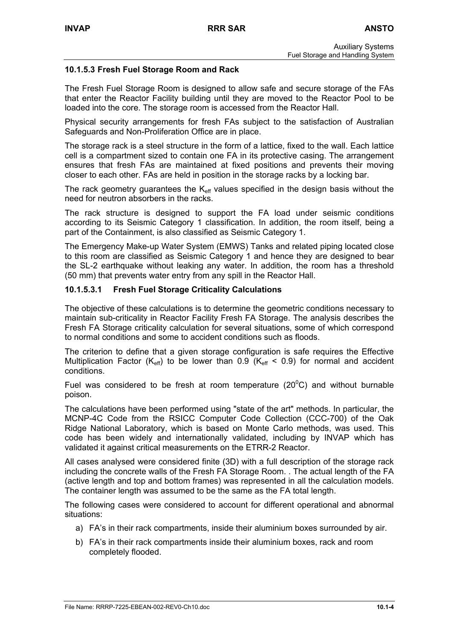# **10.1.5.3 Fresh Fuel Storage Room and Rack**

The Fresh Fuel Storage Room is designed to allow safe and secure storage of the FAs that enter the Reactor Facility building until they are moved to the Reactor Pool to be loaded into the core. The storage room is accessed from the Reactor Hall.

Physical security arrangements for fresh FAs subject to the satisfaction of Australian Safeguards and Non-Proliferation Office are in place.

The storage rack is a steel structure in the form of a lattice, fixed to the wall. Each lattice cell is a compartment sized to contain one FA in its protective casing. The arrangement ensures that fresh FAs are maintained at fixed positions and prevents their moving closer to each other. FAs are held in position in the storage racks by a locking bar.

The rack geometry guarantees the  $K_{\text{eff}}$  values specified in the design basis without the need for neutron absorbers in the racks.

The rack structure is designed to support the FA load under seismic conditions according to its Seismic Category 1 classification. In addition, the room itself, being a part of the Containment, is also classified as Seismic Category 1.

The Emergency Make-up Water System (EMWS) Tanks and related piping located close to this room are classified as Seismic Category 1 and hence they are designed to bear the SL-2 earthquake without leaking any water. In addition, the room has a threshold (50 mm) that prevents water entry from any spill in the Reactor Hall.

# **10.1.5.3.1 Fresh Fuel Storage Criticality Calculations**

The objective of these calculations is to determine the geometric conditions necessary to maintain sub-criticality in Reactor Facility Fresh FA Storage. The analysis describes the Fresh FA Storage criticality calculation for several situations, some of which correspond to normal conditions and some to accident conditions such as floods.

The criterion to define that a given storage configuration is safe requires the Effective Multiplication Factor ( $K_{\text{eff}}$ ) to be lower than 0.9 ( $K_{\text{eff}}$  < 0.9) for normal and accident conditions.

Fuel was considered to be fresh at room temperature (20 $\degree$ C) and without burnable poison.

The calculations have been performed using "state of the art" methods. In particular, the MCNP-4C Code from the RSICC Computer Code Collection (CCC-700) of the Oak Ridge National Laboratory, which is based on Monte Carlo methods, was used. This code has been widely and internationally validated, including by INVAP which has validated it against critical measurements on the ETRR-2 Reactor.

All cases analysed were considered finite (3D) with a full description of the storage rack including the concrete walls of the Fresh FA Storage Room. . The actual length of the FA (active length and top and bottom frames) was represented in all the calculation models. The container length was assumed to be the same as the FA total length.

The following cases were considered to account for different operational and abnormal situations:

- a) FA's in their rack compartments, inside their aluminium boxes surrounded by air.
- b) FA's in their rack compartments inside their aluminium boxes, rack and room completely flooded.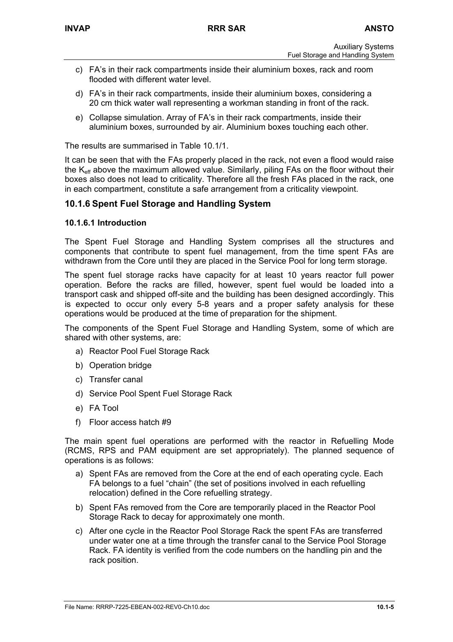- c) FA's in their rack compartments inside their aluminium boxes, rack and room flooded with different water level.
- d) FA's in their rack compartments, inside their aluminium boxes, considering a 20 cm thick water wall representing a workman standing in front of the rack.
- e) Collapse simulation. Array of FA's in their rack compartments, inside their aluminium boxes, surrounded by air. Aluminium boxes touching each other.

The results are summarised in Table 10.1/1.

It can be seen that with the FAs properly placed in the rack, not even a flood would raise the K<sub>eff</sub> above the maximum allowed value. Similarly, piling FAs on the floor without their boxes also does not lead to criticality. Therefore all the fresh FAs placed in the rack, one in each compartment, constitute a safe arrangement from a criticality viewpoint.

# **10.1.6 Spent Fuel Storage and Handling System**

#### **10.1.6.1 Introduction**

The Spent Fuel Storage and Handling System comprises all the structures and components that contribute to spent fuel management, from the time spent FAs are withdrawn from the Core until they are placed in the Service Pool for long term storage.

The spent fuel storage racks have capacity for at least 10 years reactor full power operation. Before the racks are filled, however, spent fuel would be loaded into a transport cask and shipped off-site and the building has been designed accordingly. This is expected to occur only every 5-8 years and a proper safety analysis for these operations would be produced at the time of preparation for the shipment.

The components of the Spent Fuel Storage and Handling System, some of which are shared with other systems, are:

- a) Reactor Pool Fuel Storage Rack
- b) Operation bridge
- c) Transfer canal
- d) Service Pool Spent Fuel Storage Rack
- e) FA Tool
- f) Floor access hatch #9

The main spent fuel operations are performed with the reactor in Refuelling Mode (RCMS, RPS and PAM equipment are set appropriately). The planned sequence of operations is as follows:

- a) Spent FAs are removed from the Core at the end of each operating cycle. Each FA belongs to a fuel "chain" (the set of positions involved in each refuelling relocation) defined in the Core refuelling strategy.
- b) Spent FAs removed from the Core are temporarily placed in the Reactor Pool Storage Rack to decay for approximately one month.
- c) After one cycle in the Reactor Pool Storage Rack the spent FAs are transferred under water one at a time through the transfer canal to the Service Pool Storage Rack. FA identity is verified from the code numbers on the handling pin and the rack position.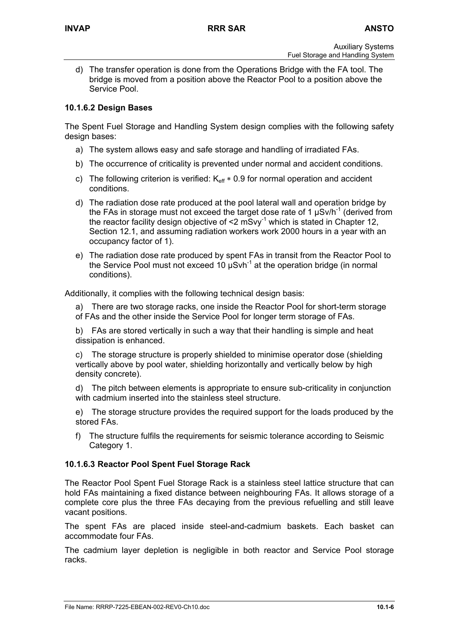d) The transfer operation is done from the Operations Bridge with the FA tool. The bridge is moved from a position above the Reactor Pool to a position above the Service Pool.

# **10.1.6.2 Design Bases**

The Spent Fuel Storage and Handling System design complies with the following safety design bases:

- a) The system allows easy and safe storage and handling of irradiated FAs.
- b) The occurrence of criticality is prevented under normal and accident conditions.
- c) The following criterion is verified:  $K_{\text{eff}} * 0.9$  for normal operation and accident conditions.
- d) The radiation dose rate produced at the pool lateral wall and operation bridge by the FAs in storage must not exceed the target dose rate of 1  $\mu$ Sv/h<sup>-1</sup> (derived from the reactor facility design objective of  $\leq 2$  mSvy<sup>-1</sup> which is stated in Chapter 12, Section 12.1, and assuming radiation workers work 2000 hours in a year with an occupancy factor of 1).
- e) The radiation dose rate produced by spent FAs in transit from the Reactor Pool to the Service Pool must not exceed 10  $\mu$ Svh<sup>-1</sup> at the operation bridge (in normal conditions).

Additionally, it complies with the following technical design basis:

a) There are two storage racks, one inside the Reactor Pool for short-term storage of FAs and the other inside the Service Pool for longer term storage of FAs.

b) FAs are stored vertically in such a way that their handling is simple and heat dissipation is enhanced.

c) The storage structure is properly shielded to minimise operator dose (shielding vertically above by pool water, shielding horizontally and vertically below by high density concrete).

d) The pitch between elements is appropriate to ensure sub-criticality in conjunction with cadmium inserted into the stainless steel structure.

e) The storage structure provides the required support for the loads produced by the stored FAs.

f) The structure fulfils the requirements for seismic tolerance according to Seismic Category 1.

# **10.1.6.3 Reactor Pool Spent Fuel Storage Rack**

The Reactor Pool Spent Fuel Storage Rack is a stainless steel lattice structure that can hold FAs maintaining a fixed distance between neighbouring FAs. It allows storage of a complete core plus the three FAs decaying from the previous refuelling and still leave vacant positions.

The spent FAs are placed inside steel-and-cadmium baskets. Each basket can accommodate four FAs.

The cadmium layer depletion is negligible in both reactor and Service Pool storage racks.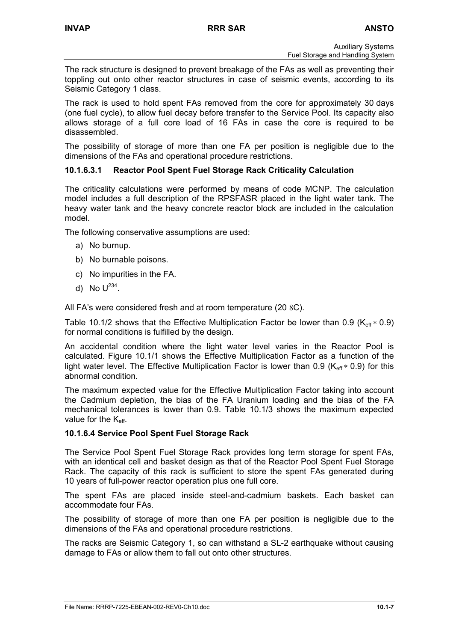The rack structure is designed to prevent breakage of the FAs as well as preventing their toppling out onto other reactor structures in case of seismic events, according to its Seismic Category 1 class.

The rack is used to hold spent FAs removed from the core for approximately 30 days (one fuel cycle), to allow fuel decay before transfer to the Service Pool. Its capacity also allows storage of a full core load of 16 FAs in case the core is required to be disassembled.

The possibility of storage of more than one FA per position is negligible due to the dimensions of the FAs and operational procedure restrictions.

# **10.1.6.3.1 Reactor Pool Spent Fuel Storage Rack Criticality Calculation**

The criticality calculations were performed by means of code MCNP. The calculation model includes a full description of the RPSFASR placed in the light water tank. The heavy water tank and the heavy concrete reactor block are included in the calculation model.

The following conservative assumptions are used:

- a) No burnup.
- b) No burnable poisons.
- c) No impurities in the FA.
- d) No  $U^{234}$ .

All FA's were considered fresh and at room temperature (20 8C).

Table 10.1/2 shows that the Effective Multiplication Factor be lower than 0.9 ( $K_{\text{eff}}$   $*$  0.9) for normal conditions is fulfilled by the design.

An accidental condition where the light water level varies in the Reactor Pool is calculated. Figure 10.1/1 shows the Effective Multiplication Factor as a function of the light water level. The Effective Multiplication Factor is lower than 0.9 ( $K_{\text{eff}} * 0.9$ ) for this abnormal condition.

The maximum expected value for the Effective Multiplication Factor taking into account the Cadmium depletion, the bias of the FA Uranium loading and the bias of the FA mechanical tolerances is lower than 0.9. Table 10.1/3 shows the maximum expected value for the  $K_{\text{eff}}$ .

#### **10.1.6.4 Service Pool Spent Fuel Storage Rack**

The Service Pool Spent Fuel Storage Rack provides long term storage for spent FAs, with an identical cell and basket design as that of the Reactor Pool Spent Fuel Storage Rack. The capacity of this rack is sufficient to store the spent FAs generated during 10 years of full-power reactor operation plus one full core.

The spent FAs are placed inside steel-and-cadmium baskets. Each basket can accommodate four FAs.

The possibility of storage of more than one FA per position is negligible due to the dimensions of the FAs and operational procedure restrictions.

The racks are Seismic Category 1, so can withstand a SL-2 earthquake without causing damage to FAs or allow them to fall out onto other structures.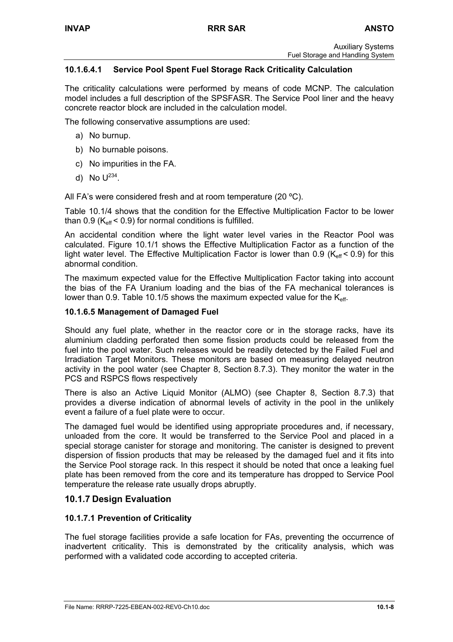# **10.1.6.4.1 Service Pool Spent Fuel Storage Rack Criticality Calculation**

The criticality calculations were performed by means of code MCNP. The calculation model includes a full description of the SPSFASR. The Service Pool liner and the heavy concrete reactor block are included in the calculation model.

The following conservative assumptions are used:

- a) No burnup.
- b) No burnable poisons.
- c) No impurities in the FA.
- d) No  $U^{234}$ .

All FA's were considered fresh and at room temperature (20 ºC).

Table 10.1/4 shows that the condition for the Effective Multiplication Factor to be lower than  $0.9$  ( $K_{\text{eff}}$  < 0.9) for normal conditions is fulfilled.

An accidental condition where the light water level varies in the Reactor Pool was calculated. Figure 10.1/1 shows the Effective Multiplication Factor as a function of the light water level. The Effective Multiplication Factor is lower than 0.9 ( $K_{\text{eff}}$  < 0.9) for this abnormal condition.

The maximum expected value for the Effective Multiplication Factor taking into account the bias of the FA Uranium loading and the bias of the FA mechanical tolerances is lower than 0.9. Table 10.1/5 shows the maximum expected value for the  $K_{\text{eff}}$ .

#### **10.1.6.5 Management of Damaged Fuel**

Should any fuel plate, whether in the reactor core or in the storage racks, have its aluminium cladding perforated then some fission products could be released from the fuel into the pool water. Such releases would be readily detected by the Failed Fuel and Irradiation Target Monitors. These monitors are based on measuring delayed neutron activity in the pool water (see Chapter 8, Section 8.7.3). They monitor the water in the PCS and RSPCS flows respectively

There is also an Active Liquid Monitor (ALMO) (see Chapter 8, Section 8.7.3) that provides a diverse indication of abnormal levels of activity in the pool in the unlikely event a failure of a fuel plate were to occur.

The damaged fuel would be identified using appropriate procedures and, if necessary, unloaded from the core. It would be transferred to the Service Pool and placed in a special storage canister for storage and monitoring. The canister is designed to prevent dispersion of fission products that may be released by the damaged fuel and it fits into the Service Pool storage rack. In this respect it should be noted that once a leaking fuel plate has been removed from the core and its temperature has dropped to Service Pool temperature the release rate usually drops abruptly.

# **10.1.7 Design Evaluation**

#### **10.1.7.1 Prevention of Criticality**

The fuel storage facilities provide a safe location for FAs, preventing the occurrence of inadvertent criticality. This is demonstrated by the criticality analysis, which was performed with a validated code according to accepted criteria.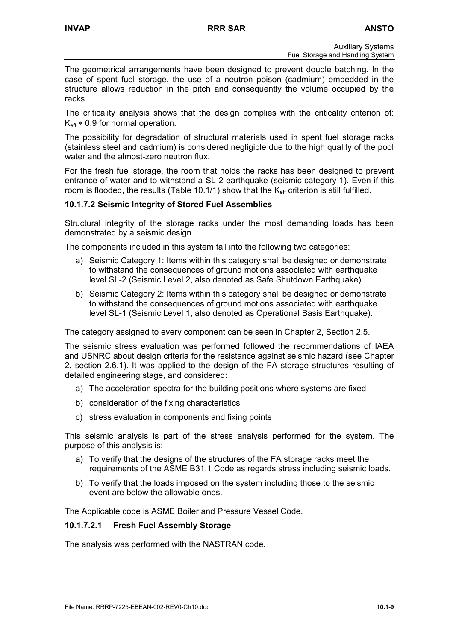The geometrical arrangements have been designed to prevent double batching. In the case of spent fuel storage, the use of a neutron poison (cadmium) embedded in the structure allows reduction in the pitch and consequently the volume occupied by the racks.

The criticality analysis shows that the design complies with the criticality criterion of:  $K_{\text{eff}} * 0.9$  for normal operation.

The possibility for degradation of structural materials used in spent fuel storage racks (stainless steel and cadmium) is considered negligible due to the high quality of the pool water and the almost-zero neutron flux.

For the fresh fuel storage, the room that holds the racks has been designed to prevent entrance of water and to withstand a SL-2 earthquake (seismic category 1). Even if this room is flooded, the results (Table 10.1/1) show that the  $K_{\text{eff}}$  criterion is still fulfilled.

# **10.1.7.2 Seismic Integrity of Stored Fuel Assemblies**

Structural integrity of the storage racks under the most demanding loads has been demonstrated by a seismic design.

The components included in this system fall into the following two categories:

- a) Seismic Category 1: Items within this category shall be designed or demonstrate to withstand the consequences of ground motions associated with earthquake level SL-2 (Seismic Level 2, also denoted as Safe Shutdown Earthquake).
- b) Seismic Category 2: Items within this category shall be designed or demonstrate to withstand the consequences of ground motions associated with earthquake level SL-1 (Seismic Level 1, also denoted as Operational Basis Earthquake).

The category assigned to every component can be seen in Chapter 2, Section 2.5.

The seismic stress evaluation was performed followed the recommendations of IAEA and USNRC about design criteria for the resistance against seismic hazard (see Chapter 2, section 2.6.1). It was applied to the design of the FA storage structures resulting of detailed engineering stage, and considered:

- a) The acceleration spectra for the building positions where systems are fixed
- b) consideration of the fixing characteristics
- c) stress evaluation in components and fixing points

This seismic analysis is part of the stress analysis performed for the system. The purpose of this analysis is:

- a) To verify that the designs of the structures of the FA storage racks meet the requirements of the ASME B31.1 Code as regards stress including seismic loads.
- b) To verify that the loads imposed on the system including those to the seismic event are below the allowable ones.

The Applicable code is ASME Boiler and Pressure Vessel Code.

#### **10.1.7.2.1 Fresh Fuel Assembly Storage**

The analysis was performed with the NASTRAN code.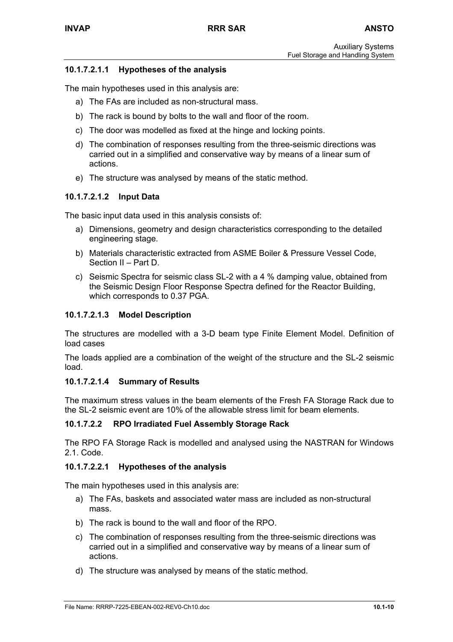# **10.1.7.2.1.1 Hypotheses of the analysis**

The main hypotheses used in this analysis are:

- a) The FAs are included as non-structural mass.
- b) The rack is bound by bolts to the wall and floor of the room.
- c) The door was modelled as fixed at the hinge and locking points.
- d) The combination of responses resulting from the three-seismic directions was carried out in a simplified and conservative way by means of a linear sum of actions.
- e) The structure was analysed by means of the static method.

# **10.1.7.2.1.2 Input Data**

The basic input data used in this analysis consists of:

- a) Dimensions, geometry and design characteristics corresponding to the detailed engineering stage.
- b) Materials characteristic extracted from ASME Boiler & Pressure Vessel Code, Section II – Part D.
- c) Seismic Spectra for seismic class SL-2 with a 4 % damping value, obtained from the Seismic Design Floor Response Spectra defined for the Reactor Building, which corresponds to 0.37 PGA.

# **10.1.7.2.1.3 Model Description**

The structures are modelled with a 3-D beam type Finite Element Model. Definition of load cases

The loads applied are a combination of the weight of the structure and the SL-2 seismic load.

#### **10.1.7.2.1.4 Summary of Results**

The maximum stress values in the beam elements of the Fresh FA Storage Rack due to the SL-2 seismic event are 10% of the allowable stress limit for beam elements.

#### **10.1.7.2.2 RPO Irradiated Fuel Assembly Storage Rack**

The RPO FA Storage Rack is modelled and analysed using the NASTRAN for Windows 2.1. Code.

#### **10.1.7.2.2.1 Hypotheses of the analysis**

The main hypotheses used in this analysis are:

- a) The FAs, baskets and associated water mass are included as non-structural mass.
- b) The rack is bound to the wall and floor of the RPO.
- c) The combination of responses resulting from the three-seismic directions was carried out in a simplified and conservative way by means of a linear sum of actions.
- d) The structure was analysed by means of the static method.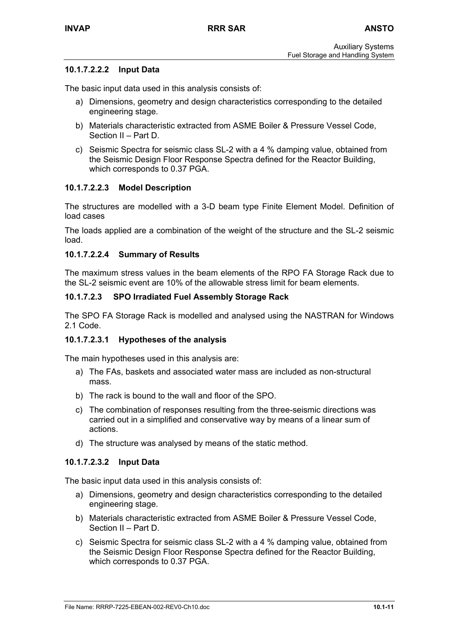# **10.1.7.2.2.2 Input Data**

The basic input data used in this analysis consists of:

- a) Dimensions, geometry and design characteristics corresponding to the detailed engineering stage.
- b) Materials characteristic extracted from ASME Boiler & Pressure Vessel Code, Section II – Part D.
- c) Seismic Spectra for seismic class SL-2 with a 4 % damping value, obtained from the Seismic Design Floor Response Spectra defined for the Reactor Building, which corresponds to 0.37 PGA.

# **10.1.7.2.2.3 Model Description**

The structures are modelled with a 3-D beam type Finite Element Model. Definition of load cases

The loads applied are a combination of the weight of the structure and the SL-2 seismic load.

#### **10.1.7.2.2.4 Summary of Results**

The maximum stress values in the beam elements of the RPO FA Storage Rack due to the SL-2 seismic event are 10% of the allowable stress limit for beam elements.

# **10.1.7.2.3 SPO Irradiated Fuel Assembly Storage Rack**

The SPO FA Storage Rack is modelled and analysed using the NASTRAN for Windows 2.1 Code.

#### **10.1.7.2.3.1 Hypotheses of the analysis**

The main hypotheses used in this analysis are:

- a) The FAs, baskets and associated water mass are included as non-structural mass.
- b) The rack is bound to the wall and floor of the SPO.
- c) The combination of responses resulting from the three-seismic directions was carried out in a simplified and conservative way by means of a linear sum of actions.
- d) The structure was analysed by means of the static method.

#### **10.1.7.2.3.2 Input Data**

The basic input data used in this analysis consists of:

- a) Dimensions, geometry and design characteristics corresponding to the detailed engineering stage.
- b) Materials characteristic extracted from ASME Boiler & Pressure Vessel Code, Section II – Part D.
- c) Seismic Spectra for seismic class SL-2 with a 4 % damping value, obtained from the Seismic Design Floor Response Spectra defined for the Reactor Building, which corresponds to 0.37 PGA.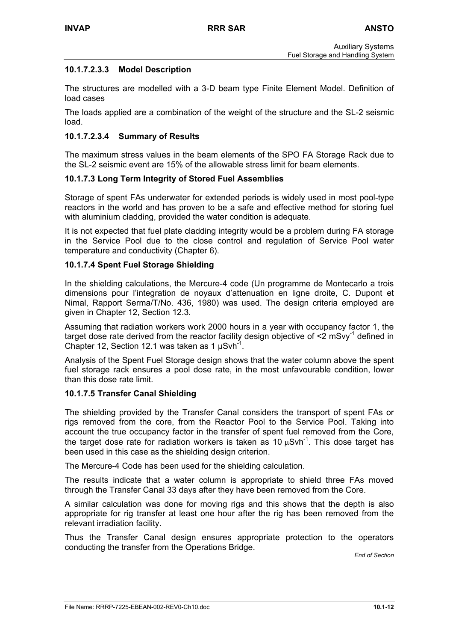# **10.1.7.2.3.3 Model Description**

The structures are modelled with a 3-D beam type Finite Element Model. Definition of load cases

The loads applied are a combination of the weight of the structure and the SL-2 seismic load.

# **10.1.7.2.3.4 Summary of Results**

The maximum stress values in the beam elements of the SPO FA Storage Rack due to the SL-2 seismic event are 15% of the allowable stress limit for beam elements.

#### **10.1.7.3 Long Term Integrity of Stored Fuel Assemblies**

Storage of spent FAs underwater for extended periods is widely used in most pool-type reactors in the world and has proven to be a safe and effective method for storing fuel with aluminium cladding, provided the water condition is adequate.

It is not expected that fuel plate cladding integrity would be a problem during FA storage in the Service Pool due to the close control and regulation of Service Pool water temperature and conductivity (Chapter 6).

#### **10.1.7.4 Spent Fuel Storage Shielding**

In the shielding calculations, the Mercure-4 code (Un programme de Montecarlo a trois dimensions pour l'integration de noyaux d'attenuation en ligne droite, C. Dupont et Nimal, Rapport Serma/T/No. 436, 1980) was used. The design criteria employed are given in Chapter 12, Section 12.3.

Assuming that radiation workers work 2000 hours in a year with occupancy factor 1, the target dose rate derived from the reactor facility design objective of  $\leq 2 \text{ mSvy}^{-1}$  defined in Chapter 12, Section 12.1 was taken as 1  $\mu$ Svh<sup>-1</sup>.

Analysis of the Spent Fuel Storage design shows that the water column above the spent fuel storage rack ensures a pool dose rate, in the most unfavourable condition, lower than this dose rate limit.

#### **10.1.7.5 Transfer Canal Shielding**

The shielding provided by the Transfer Canal considers the transport of spent FAs or rigs removed from the core, from the Reactor Pool to the Service Pool. Taking into account the true occupancy factor in the transfer of spent fuel removed from the Core, the target dose rate for radiation workers is taken as 10  $\mu$ Svh<sup>-1</sup>. This dose target has been used in this case as the shielding design criterion.

The Mercure-4 Code has been used for the shielding calculation.

The results indicate that a water column is appropriate to shield three FAs moved through the Transfer Canal 33 days after they have been removed from the Core.

A similar calculation was done for moving rigs and this shows that the depth is also appropriate for rig transfer at least one hour after the rig has been removed from the relevant irradiation facility.

Thus the Transfer Canal design ensures appropriate protection to the operators conducting the transfer from the Operations Bridge.

*End of Section*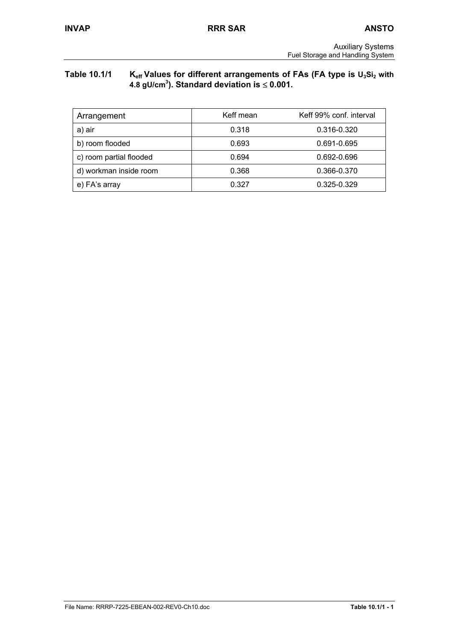# Table 10.1/1 K<sub>eff</sub> Values for different arrangements of FAs (FA type is U<sub>3</sub>Si<sub>2</sub> with **4.8 gU/cm3 ). Standard deviation is** ≤ **0.001.**

| Arrangement             | Keff mean | Keff 99% conf. interval |
|-------------------------|-----------|-------------------------|
| a) air                  | 0.318     | 0.316-0.320             |
| b) room flooded         | 0.693     | 0.691-0.695             |
| c) room partial flooded | 0.694     | 0.692-0.696             |
| d) workman inside room  | 0.368     | 0.366-0.370             |
| e) FA's array           | 0.327     | 0.325-0.329             |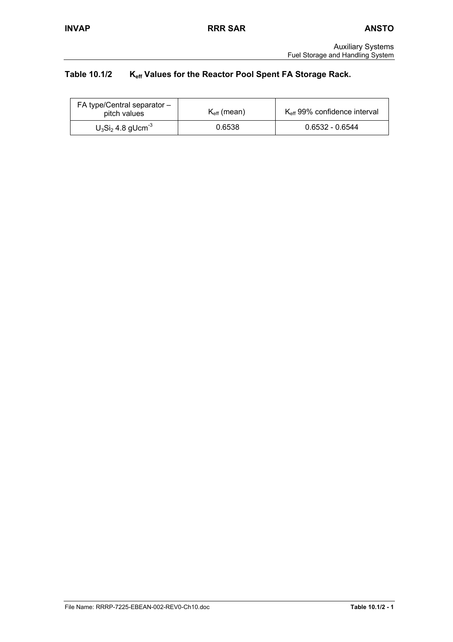# Table 10.1/2 K<sub>eff</sub> Values for the Reactor Pool Spent FA Storage Rack.

| FA type/Central separator -<br>pitch values | $K_{\text{eff}}$ (mean) | $K_{\text{eff}}$ 99% confidence interval |
|---------------------------------------------|-------------------------|------------------------------------------|
| $U_3Si_2$ 4.8 gUcm <sup>-3</sup>            | 0.6538                  | $0.6532 - 0.6544$                        |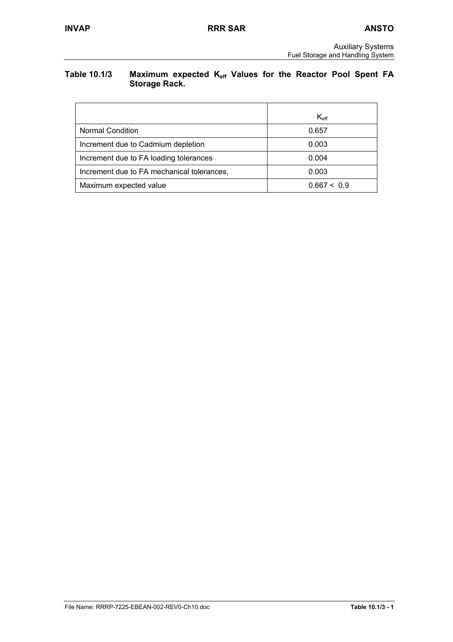# Table 10.1/3 Maximum expected K<sub>eff</sub> Values for the Reactor Pool Spent FA **Storage Rack.**

|                                            | $K_{\text{eff}}$ |
|--------------------------------------------|------------------|
| <b>Normal Condition</b>                    | 0.657            |
| Increment due to Cadmium depletion         | 0.003            |
| Increment due to FA loading tolerances     | 0.004            |
| Increment due to FA mechanical tolerances, | 0.003            |
| Maximum expected value                     | 0.667 < 0.9      |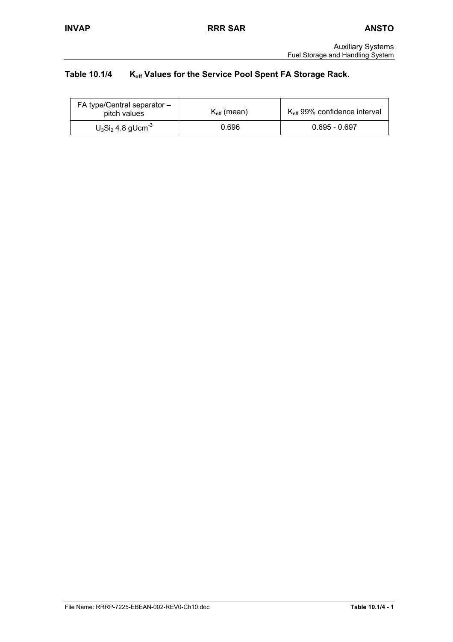# Table 10.1/4 K<sub>eff</sub> Values for the Service Pool Spent FA Storage Rack.

| FA type/Central separator $-$<br>pitch values | $K_{\text{eff}}$ (mean) | $K_{\text{eff}}$ 99% confidence interval |
|-----------------------------------------------|-------------------------|------------------------------------------|
| $U_3Si_2$ 4.8 gUcm <sup>-3</sup>              | 0.696                   | $0.695 - 0.697$                          |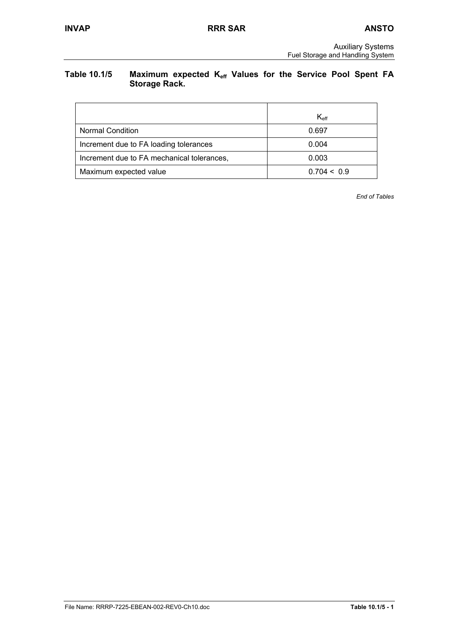# Table 10.1/5 Maximum expected K<sub>eff</sub> Values for the Service Pool Spent FA **Storage Rack.**

|                                            | $K_{\text{eff}}$ |
|--------------------------------------------|------------------|
| <b>Normal Condition</b>                    | 0.697            |
| Increment due to FA loading tolerances     | 0.004            |
| Increment due to FA mechanical tolerances, | 0.003            |
| Maximum expected value                     | 0.704 < 0.9      |

*End of Tables*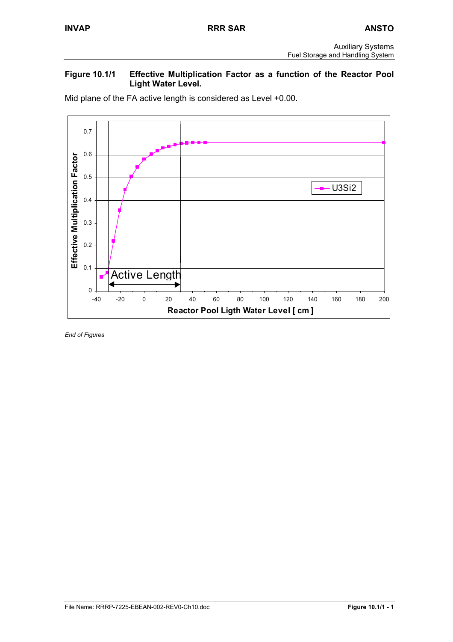# **Figure 10.1/1 Effective Multiplication Factor as a function of the Reactor Pool Light Water Level.**

0.7 0.6 Effective Multiplication Factor **Effective Multiplication Factor** 0.5 U3Si2 0.4 0.3 0.2 0.1 **Active Length** 4 0 -40 -20 0 20 40 60 80 100 120 140 160 180 200 **Reactor Pool Ligth Water Level [ cm ]**

Mid plane of the FA active length is considered as Level +0.00.

*End of Figures*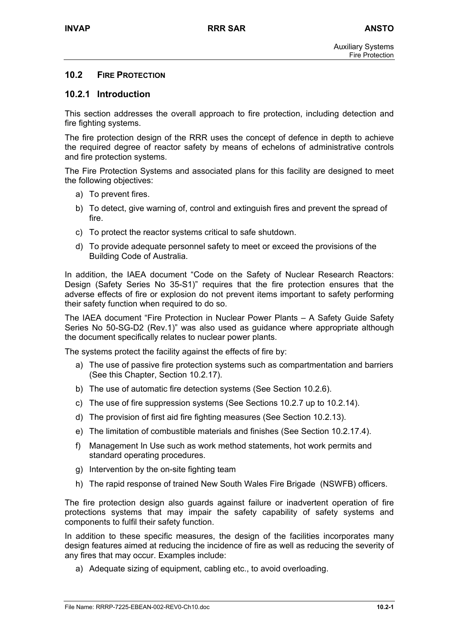# **10.2 FIRE PROTECTION**

#### **10.2.1 Introduction**

This section addresses the overall approach to fire protection, including detection and fire fighting systems.

The fire protection design of the RRR uses the concept of defence in depth to achieve the required degree of reactor safety by means of echelons of administrative controls and fire protection systems.

The Fire Protection Systems and associated plans for this facility are designed to meet the following objectives:

- a) To prevent fires.
- b) To detect, give warning of, control and extinguish fires and prevent the spread of fire.
- c) To protect the reactor systems critical to safe shutdown.
- d) To provide adequate personnel safety to meet or exceed the provisions of the Building Code of Australia.

In addition, the IAEA document "Code on the Safety of Nuclear Research Reactors: Design (Safety Series No 35-S1)" requires that the fire protection ensures that the adverse effects of fire or explosion do not prevent items important to safety performing their safety function when required to do so.

The IAEA document "Fire Protection in Nuclear Power Plants – A Safety Guide Safety Series No 50-SG-D2 (Rev.1)" was also used as guidance where appropriate although the document specifically relates to nuclear power plants.

The systems protect the facility against the effects of fire by:

- a) The use of passive fire protection systems such as compartmentation and barriers (See this Chapter, Section 10.2.17).
- b) The use of automatic fire detection systems (See Section 10.2.6).
- c) The use of fire suppression systems (See Sections 10.2.7 up to 10.2.14).
- d) The provision of first aid fire fighting measures (See Section 10.2.13).
- e) The limitation of combustible materials and finishes (See Section 10.2.17.4).
- f) Management In Use such as work method statements, hot work permits and standard operating procedures.
- g) Intervention by the on-site fighting team
- h) The rapid response of trained New South Wales Fire Brigade (NSWFB) officers.

The fire protection design also guards against failure or inadvertent operation of fire protections systems that may impair the safety capability of safety systems and components to fulfil their safety function.

In addition to these specific measures, the design of the facilities incorporates many design features aimed at reducing the incidence of fire as well as reducing the severity of any fires that may occur. Examples include:

a) Adequate sizing of equipment, cabling etc., to avoid overloading.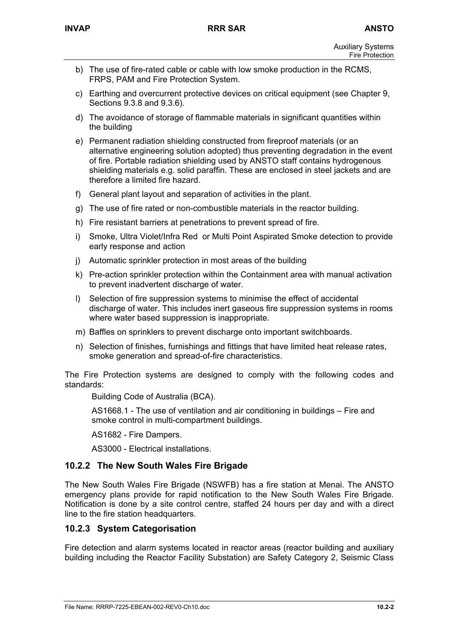- b) The use of fire-rated cable or cable with low smoke production in the RCMS, FRPS, PAM and Fire Protection System.
- c) Earthing and overcurrent protective devices on critical equipment (see Chapter 9, Sections 9.3.8 and 9.3.6).
- d) The avoidance of storage of flammable materials in significant quantities within the building
- e) Permanent radiation shielding constructed from fireproof materials (or an alternative engineering solution adopted) thus preventing degradation in the event of fire. Portable radiation shielding used by ANSTO staff contains hydrogenous shielding materials e.g. solid paraffin. These are enclosed in steel jackets and are therefore a limited fire hazard.
- f) General plant layout and separation of activities in the plant.
- g) The use of fire rated or non-combustible materials in the reactor building.
- h) Fire resistant barriers at penetrations to prevent spread of fire.
- i) Smoke, Ultra Violet/Infra Red or Multi Point Aspirated Smoke detection to provide early response and action
- j) Automatic sprinkler protection in most areas of the building
- k) Pre-action sprinkler protection within the Containment area with manual activation to prevent inadvertent discharge of water.
- l) Selection of fire suppression systems to minimise the effect of accidental discharge of water. This includes inert gaseous fire suppression systems in rooms where water based suppression is inappropriate.
- m) Baffles on sprinklers to prevent discharge onto important switchboards.
- n) Selection of finishes, furnishings and fittings that have limited heat release rates, smoke generation and spread-of-fire characteristics.

The Fire Protection systems are designed to comply with the following codes and standards:

Building Code of Australia (BCA).

AS1668.1 - The use of ventilation and air conditioning in buildings – Fire and smoke control in multi-compartment buildings.

AS1682 - Fire Dampers.

AS3000 - Electrical installations.

# **10.2.2 The New South Wales Fire Brigade**

The New South Wales Fire Brigade (NSWFB) has a fire station at Menai. The ANSTO emergency plans provide for rapid notification to the New South Wales Fire Brigade. Notification is done by a site control centre, staffed 24 hours per day and with a direct line to the fire station headquarters.

# **10.2.3 System Categorisation**

Fire detection and alarm systems located in reactor areas (reactor building and auxiliary building including the Reactor Facility Substation) are Safety Category 2, Seismic Class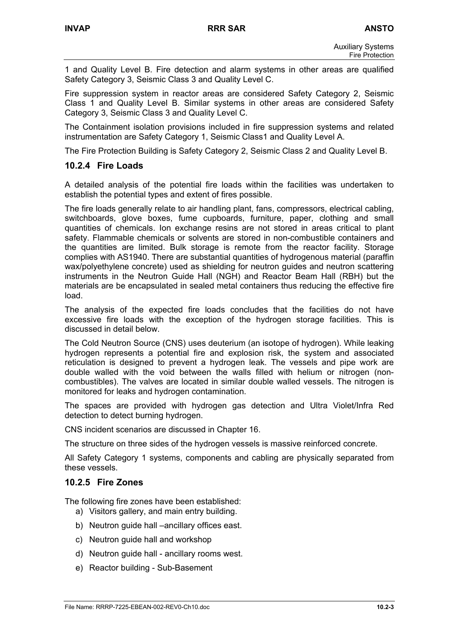1 and Quality Level B. Fire detection and alarm systems in other areas are qualified Safety Category 3, Seismic Class 3 and Quality Level C.

Fire suppression system in reactor areas are considered Safety Category 2, Seismic Class 1 and Quality Level B. Similar systems in other areas are considered Safety Category 3, Seismic Class 3 and Quality Level C.

The Containment isolation provisions included in fire suppression systems and related instrumentation are Safety Category 1, Seismic Class1 and Quality Level A.

The Fire Protection Building is Safety Category 2, Seismic Class 2 and Quality Level B.

# **10.2.4 Fire Loads**

A detailed analysis of the potential fire loads within the facilities was undertaken to establish the potential types and extent of fires possible.

The fire loads generally relate to air handling plant, fans, compressors, electrical cabling, switchboards, glove boxes, fume cupboards, furniture, paper, clothing and small quantities of chemicals. Ion exchange resins are not stored in areas critical to plant safety. Flammable chemicals or solvents are stored in non-combustible containers and the quantities are limited. Bulk storage is remote from the reactor facility. Storage complies with AS1940. There are substantial quantities of hydrogenous material (paraffin wax/polyethylene concrete) used as shielding for neutron guides and neutron scattering instruments in the Neutron Guide Hall (NGH) and Reactor Beam Hall (RBH) but the materials are be encapsulated in sealed metal containers thus reducing the effective fire load.

The analysis of the expected fire loads concludes that the facilities do not have excessive fire loads with the exception of the hydrogen storage facilities. This is discussed in detail below.

The Cold Neutron Source (CNS) uses deuterium (an isotope of hydrogen). While leaking hydrogen represents a potential fire and explosion risk, the system and associated reticulation is designed to prevent a hydrogen leak. The vessels and pipe work are double walled with the void between the walls filled with helium or nitrogen (noncombustibles). The valves are located in similar double walled vessels. The nitrogen is monitored for leaks and hydrogen contamination.

The spaces are provided with hydrogen gas detection and Ultra Violet/Infra Red detection to detect burning hydrogen.

CNS incident scenarios are discussed in Chapter 16.

The structure on three sides of the hydrogen vessels is massive reinforced concrete.

All Safety Category 1 systems, components and cabling are physically separated from these vessels.

# **10.2.5 Fire Zones**

The following fire zones have been established:

- a) Visitors gallery, and main entry building.
- b) Neutron guide hall –ancillary offices east.
- c) Neutron guide hall and workshop
- d) Neutron guide hall ancillary rooms west.
- e) Reactor building Sub-Basement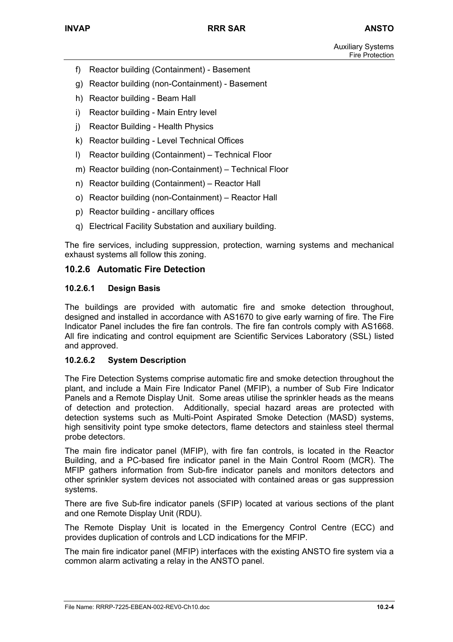- f) Reactor building (Containment) Basement
- g) Reactor building (non-Containment) Basement
- h) Reactor building Beam Hall
- i) Reactor building Main Entry level
- j) Reactor Building Health Physics
- k) Reactor building Level Technical Offices
- l) Reactor building (Containment) Technical Floor
- m) Reactor building (non-Containment) Technical Floor
- n) Reactor building (Containment) Reactor Hall
- o) Reactor building (non-Containment) Reactor Hall
- p) Reactor building ancillary offices
- q) Electrical Facility Substation and auxiliary building.

The fire services, including suppression, protection, warning systems and mechanical exhaust systems all follow this zoning.

# **10.2.6 Automatic Fire Detection**

#### **10.2.6.1 Design Basis**

The buildings are provided with automatic fire and smoke detection throughout, designed and installed in accordance with AS1670 to give early warning of fire. The Fire Indicator Panel includes the fire fan controls. The fire fan controls comply with AS1668. All fire indicating and control equipment are Scientific Services Laboratory (SSL) listed and approved.

#### **10.2.6.2 System Description**

The Fire Detection Systems comprise automatic fire and smoke detection throughout the plant, and include a Main Fire Indicator Panel (MFIP), a number of Sub Fire Indicator Panels and a Remote Display Unit. Some areas utilise the sprinkler heads as the means of detection and protection. Additionally, special hazard areas are protected with detection systems such as Multi-Point Aspirated Smoke Detection (MASD) systems, high sensitivity point type smoke detectors, flame detectors and stainless steel thermal probe detectors.

The main fire indicator panel (MFIP), with fire fan controls, is located in the Reactor Building, and a PC-based fire indicator panel in the Main Control Room (MCR). The MFIP gathers information from Sub-fire indicator panels and monitors detectors and other sprinkler system devices not associated with contained areas or gas suppression systems.

There are five Sub-fire indicator panels (SFIP) located at various sections of the plant and one Remote Display Unit (RDU).

The Remote Display Unit is located in the Emergency Control Centre (ECC) and provides duplication of controls and LCD indications for the MFIP.

The main fire indicator panel (MFIP) interfaces with the existing ANSTO fire system via a common alarm activating a relay in the ANSTO panel.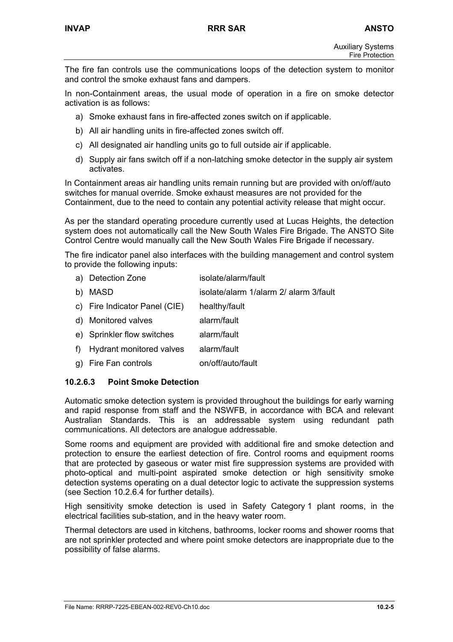The fire fan controls use the communications loops of the detection system to monitor and control the smoke exhaust fans and dampers.

In non-Containment areas, the usual mode of operation in a fire on smoke detector activation is as follows:

- a) Smoke exhaust fans in fire-affected zones switch on if applicable.
- b) All air handling units in fire-affected zones switch off.
- c) All designated air handling units go to full outside air if applicable.
- d) Supply air fans switch off if a non-latching smoke detector in the supply air system activates.

In Containment areas air handling units remain running but are provided with on/off/auto switches for manual override. Smoke exhaust measures are not provided for the Containment, due to the need to contain any potential activity release that might occur.

As per the standard operating procedure currently used at Lucas Heights, the detection system does not automatically call the New South Wales Fire Brigade. The ANSTO Site Control Centre would manually call the New South Wales Fire Brigade if necessary.

The fire indicator panel also interfaces with the building management and control system to provide the following inputs:

a) Detection Zone isolate/alarm/fault b) MASD isolate/alarm 1/alarm 2/ alarm 3/fault c) Fire Indicator Panel (CIE) healthy/fault d) Monitored valves alarm/fault e) Sprinkler flow switches alarm/fault f) Hydrant monitored valves alarm/fault g) Fire Fan controls on/off/auto/fault

# **10.2.6.3 Point Smoke Detection**

Automatic smoke detection system is provided throughout the buildings for early warning and rapid response from staff and the NSWFB, in accordance with BCA and relevant Australian Standards. This is an addressable system using redundant path communications. All detectors are analogue addressable.

Some rooms and equipment are provided with additional fire and smoke detection and protection to ensure the earliest detection of fire. Control rooms and equipment rooms that are protected by gaseous or water mist fire suppression systems are provided with photo-optical and multi-point aspirated smoke detection or high sensitivity smoke detection systems operating on a dual detector logic to activate the suppression systems (see Section 10.2.6.4 for further details).

High sensitivity smoke detection is used in Safety Category 1 plant rooms, in the electrical facilities sub-station, and in the heavy water room.

Thermal detectors are used in kitchens, bathrooms, locker rooms and shower rooms that are not sprinkler protected and where point smoke detectors are inappropriate due to the possibility of false alarms.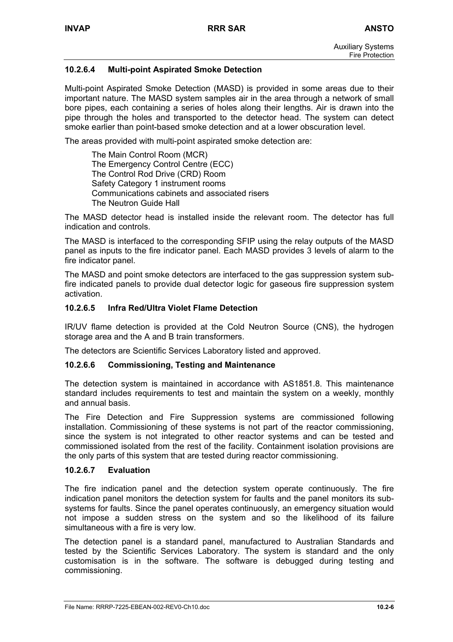# **10.2.6.4 Multi-point Aspirated Smoke Detection**

Multi-point Aspirated Smoke Detection (MASD) is provided in some areas due to their important nature. The MASD system samples air in the area through a network of small bore pipes, each containing a series of holes along their lengths. Air is drawn into the pipe through the holes and transported to the detector head. The system can detect smoke earlier than point-based smoke detection and at a lower obscuration level.

The areas provided with multi-point aspirated smoke detection are:

The Main Control Room (MCR) The Emergency Control Centre (ECC) The Control Rod Drive (CRD) Room Safety Category 1 instrument rooms Communications cabinets and associated risers The Neutron Guide Hall

The MASD detector head is installed inside the relevant room. The detector has full indication and controls.

The MASD is interfaced to the corresponding SFIP using the relay outputs of the MASD panel as inputs to the fire indicator panel. Each MASD provides 3 levels of alarm to the fire indicator panel.

The MASD and point smoke detectors are interfaced to the gas suppression system subfire indicated panels to provide dual detector logic for gaseous fire suppression system activation.

# **10.2.6.5 Infra Red/Ultra Violet Flame Detection**

IR/UV flame detection is provided at the Cold Neutron Source (CNS), the hydrogen storage area and the A and B train transformers.

The detectors are Scientific Services Laboratory listed and approved.

#### **10.2.6.6 Commissioning, Testing and Maintenance**

The detection system is maintained in accordance with AS1851.8. This maintenance standard includes requirements to test and maintain the system on a weekly, monthly and annual basis.

The Fire Detection and Fire Suppression systems are commissioned following installation. Commissioning of these systems is not part of the reactor commissioning, since the system is not integrated to other reactor systems and can be tested and commissioned isolated from the rest of the facility. Containment isolation provisions are the only parts of this system that are tested during reactor commissioning.

#### **10.2.6.7 Evaluation**

The fire indication panel and the detection system operate continuously. The fire indication panel monitors the detection system for faults and the panel monitors its subsystems for faults. Since the panel operates continuously, an emergency situation would not impose a sudden stress on the system and so the likelihood of its failure simultaneous with a fire is very low.

The detection panel is a standard panel, manufactured to Australian Standards and tested by the Scientific Services Laboratory. The system is standard and the only customisation is in the software. The software is debugged during testing and commissioning.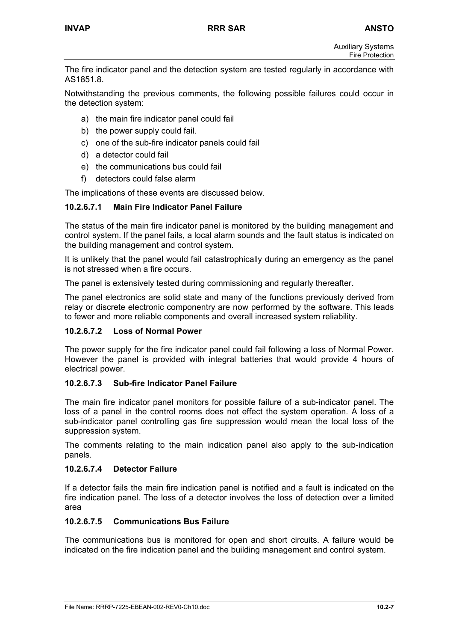The fire indicator panel and the detection system are tested regularly in accordance with AS1851.8.

Notwithstanding the previous comments, the following possible failures could occur in the detection system:

- a) the main fire indicator panel could fail
- b) the power supply could fail.
- c) one of the sub-fire indicator panels could fail
- d) a detector could fail
- e) the communications bus could fail
- f) detectors could false alarm

The implications of these events are discussed below.

# **10.2.6.7.1 Main Fire Indicator Panel Failure**

The status of the main fire indicator panel is monitored by the building management and control system. If the panel fails, a local alarm sounds and the fault status is indicated on the building management and control system.

It is unlikely that the panel would fail catastrophically during an emergency as the panel is not stressed when a fire occurs.

The panel is extensively tested during commissioning and regularly thereafter.

The panel electronics are solid state and many of the functions previously derived from relay or discrete electronic componentry are now performed by the software. This leads to fewer and more reliable components and overall increased system reliability.

#### **10.2.6.7.2 Loss of Normal Power**

The power supply for the fire indicator panel could fail following a loss of Normal Power. However the panel is provided with integral batteries that would provide 4 hours of electrical power.

#### **10.2.6.7.3 Sub-fire Indicator Panel Failure**

The main fire indicator panel monitors for possible failure of a sub-indicator panel. The loss of a panel in the control rooms does not effect the system operation. A loss of a sub-indicator panel controlling gas fire suppression would mean the local loss of the suppression system.

The comments relating to the main indication panel also apply to the sub-indication panels.

#### **10.2.6.7.4 Detector Failure**

If a detector fails the main fire indication panel is notified and a fault is indicated on the fire indication panel. The loss of a detector involves the loss of detection over a limited area

# **10.2.6.7.5 Communications Bus Failure**

The communications bus is monitored for open and short circuits. A failure would be indicated on the fire indication panel and the building management and control system.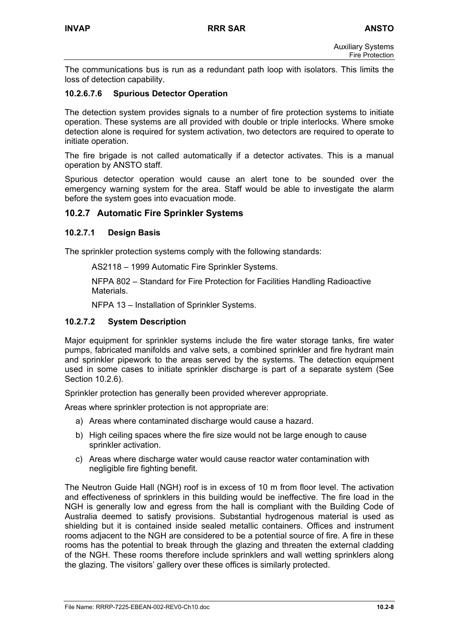The communications bus is run as a redundant path loop with isolators. This limits the loss of detection capability.

# **10.2.6.7.6 Spurious Detector Operation**

The detection system provides signals to a number of fire protection systems to initiate operation. These systems are all provided with double or triple interlocks. Where smoke detection alone is required for system activation, two detectors are required to operate to initiate operation.

The fire brigade is not called automatically if a detector activates. This is a manual operation by ANSTO staff.

Spurious detector operation would cause an alert tone to be sounded over the emergency warning system for the area. Staff would be able to investigate the alarm before the system goes into evacuation mode.

# **10.2.7 Automatic Fire Sprinkler Systems**

# **10.2.7.1 Design Basis**

The sprinkler protection systems comply with the following standards:

AS2118 – 1999 Automatic Fire Sprinkler Systems.

NFPA 802 – Standard for Fire Protection for Facilities Handling Radioactive **Materials** 

NFPA 13 – Installation of Sprinkler Systems.

#### **10.2.7.2 System Description**

Major equipment for sprinkler systems include the fire water storage tanks, fire water pumps, fabricated manifolds and valve sets, a combined sprinkler and fire hydrant main and sprinkler pipework to the areas served by the systems. The detection equipment used in some cases to initiate sprinkler discharge is part of a separate system (See Section 10.2.6).

Sprinkler protection has generally been provided wherever appropriate.

Areas where sprinkler protection is not appropriate are:

- a) Areas where contaminated discharge would cause a hazard.
- b) High ceiling spaces where the fire size would not be large enough to cause sprinkler activation.
- c) Areas where discharge water would cause reactor water contamination with negligible fire fighting benefit.

The Neutron Guide Hall (NGH) roof is in excess of 10 m from floor level. The activation and effectiveness of sprinklers in this building would be ineffective. The fire load in the NGH is generally low and egress from the hall is compliant with the Building Code of Australia deemed to satisfy provisions. Substantial hydrogenous material is used as shielding but it is contained inside sealed metallic containers. Offices and instrument rooms adjacent to the NGH are considered to be a potential source of fire. A fire in these rooms has the potential to break through the glazing and threaten the external cladding of the NGH. These rooms therefore include sprinklers and wall wetting sprinklers along the glazing. The visitors' gallery over these offices is similarly protected.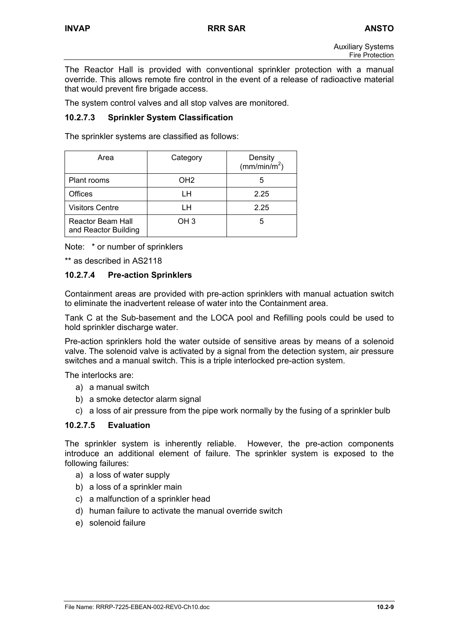The Reactor Hall is provided with conventional sprinkler protection with a manual override. This allows remote fire control in the event of a release of radioactive material that would prevent fire brigade access.

The system control valves and all stop valves are monitored.

# **10.2.7.3 Sprinkler System Classification**

The sprinkler systems are classified as follows:

| Area                                      | Category        | Density<br>(mm/min/m <sup>2</sup> ) |
|-------------------------------------------|-----------------|-------------------------------------|
| Plant rooms                               | OH <sub>2</sub> | 5                                   |
| <b>Offices</b>                            | LH              | 2.25                                |
| <b>Visitors Centre</b>                    | ıн              | 2.25                                |
| Reactor Beam Hall<br>and Reactor Building | OH <sub>3</sub> | 5                                   |

Note: \* or number of sprinklers

\*\* as described in AS2118

# **10.2.7.4 Pre-action Sprinklers**

Containment areas are provided with pre-action sprinklers with manual actuation switch to eliminate the inadvertent release of water into the Containment area.

Tank C at the Sub-basement and the LOCA pool and Refilling pools could be used to hold sprinkler discharge water.

Pre-action sprinklers hold the water outside of sensitive areas by means of a solenoid valve. The solenoid valve is activated by a signal from the detection system, air pressure switches and a manual switch. This is a triple interlocked pre-action system.

The interlocks are:

- a) a manual switch
- b) a smoke detector alarm signal
- c) a loss of air pressure from the pipe work normally by the fusing of a sprinkler bulb

#### **10.2.7.5 Evaluation**

The sprinkler system is inherently reliable. However, the pre-action components introduce an additional element of failure. The sprinkler system is exposed to the following failures:

- a) a loss of water supply
- b) a loss of a sprinkler main
- c) a malfunction of a sprinkler head
- d) human failure to activate the manual override switch
- e) solenoid failure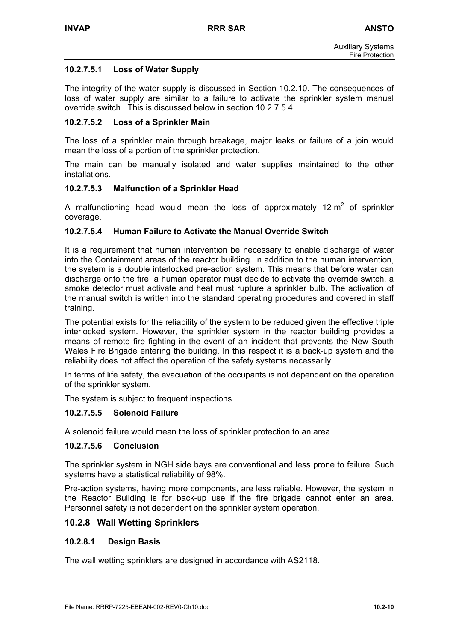# **10.2.7.5.1 Loss of Water Supply**

The integrity of the water supply is discussed in Section 10.2.10. The consequences of loss of water supply are similar to a failure to activate the sprinkler system manual override switch. This is discussed below in section 10.2.7.5.4.

#### **10.2.7.5.2 Loss of a Sprinkler Main**

The loss of a sprinkler main through breakage, major leaks or failure of a join would mean the loss of a portion of the sprinkler protection.

The main can be manually isolated and water supplies maintained to the other installations.

#### **10.2.7.5.3 Malfunction of a Sprinkler Head**

A malfunctioning head would mean the loss of approximately 12  $m^2$  of sprinkler coverage.

# **10.2.7.5.4 Human Failure to Activate the Manual Override Switch**

It is a requirement that human intervention be necessary to enable discharge of water into the Containment areas of the reactor building. In addition to the human intervention, the system is a double interlocked pre-action system. This means that before water can discharge onto the fire, a human operator must decide to activate the override switch, a smoke detector must activate and heat must rupture a sprinkler bulb. The activation of the manual switch is written into the standard operating procedures and covered in staff training.

The potential exists for the reliability of the system to be reduced given the effective triple interlocked system. However, the sprinkler system in the reactor building provides a means of remote fire fighting in the event of an incident that prevents the New South Wales Fire Brigade entering the building. In this respect it is a back-up system and the reliability does not affect the operation of the safety systems necessarily.

In terms of life safety, the evacuation of the occupants is not dependent on the operation of the sprinkler system.

The system is subject to frequent inspections.

#### **10.2.7.5.5 Solenoid Failure**

A solenoid failure would mean the loss of sprinkler protection to an area.

# **10.2.7.5.6 Conclusion**

The sprinkler system in NGH side bays are conventional and less prone to failure. Such systems have a statistical reliability of 98%.

Pre-action systems, having more components, are less reliable. However, the system in the Reactor Building is for back-up use if the fire brigade cannot enter an area. Personnel safety is not dependent on the sprinkler system operation.

# **10.2.8 Wall Wetting Sprinklers**

#### **10.2.8.1 Design Basis**

The wall wetting sprinklers are designed in accordance with AS2118.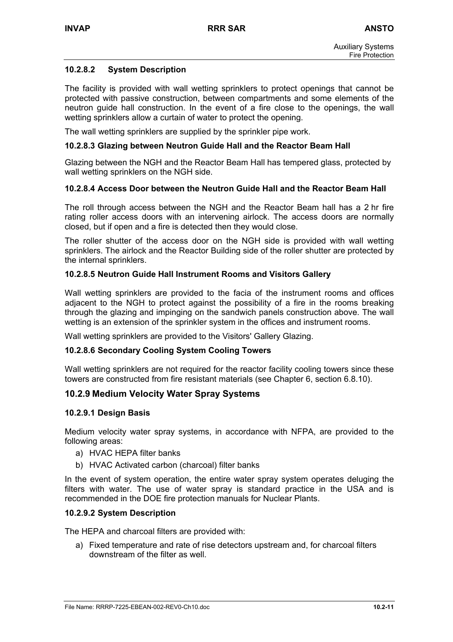# **10.2.8.2 System Description**

The facility is provided with wall wetting sprinklers to protect openings that cannot be protected with passive construction, between compartments and some elements of the neutron guide hall construction. In the event of a fire close to the openings, the wall wetting sprinklers allow a curtain of water to protect the opening.

The wall wetting sprinklers are supplied by the sprinkler pipe work.

#### **10.2.8.3 Glazing between Neutron Guide Hall and the Reactor Beam Hall**

Glazing between the NGH and the Reactor Beam Hall has tempered glass, protected by wall wetting sprinklers on the NGH side.

#### **10.2.8.4 Access Door between the Neutron Guide Hall and the Reactor Beam Hall**

The roll through access between the NGH and the Reactor Beam hall has a 2 hr fire rating roller access doors with an intervening airlock. The access doors are normally closed, but if open and a fire is detected then they would close.

The roller shutter of the access door on the NGH side is provided with wall wetting sprinklers. The airlock and the Reactor Building side of the roller shutter are protected by the internal sprinklers.

#### **10.2.8.5 Neutron Guide Hall Instrument Rooms and Visitors Gallery**

Wall wetting sprinklers are provided to the facia of the instrument rooms and offices adjacent to the NGH to protect against the possibility of a fire in the rooms breaking through the glazing and impinging on the sandwich panels construction above. The wall wetting is an extension of the sprinkler system in the offices and instrument rooms.

Wall wetting sprinklers are provided to the Visitors' Gallery Glazing.

#### **10.2.8.6 Secondary Cooling System Cooling Towers**

Wall wetting sprinklers are not required for the reactor facility cooling towers since these towers are constructed from fire resistant materials (see Chapter 6, section 6.8.10).

# **10.2.9 Medium Velocity Water Spray Systems**

#### **10.2.9.1 Design Basis**

Medium velocity water spray systems, in accordance with NFPA, are provided to the following areas:

- a) HVAC HEPA filter banks
- b) HVAC Activated carbon (charcoal) filter banks

In the event of system operation, the entire water spray system operates deluging the filters with water. The use of water spray is standard practice in the USA and is recommended in the DOE fire protection manuals for Nuclear Plants.

#### **10.2.9.2 System Description**

The HEPA and charcoal filters are provided with:

a) Fixed temperature and rate of rise detectors upstream and, for charcoal filters downstream of the filter as well.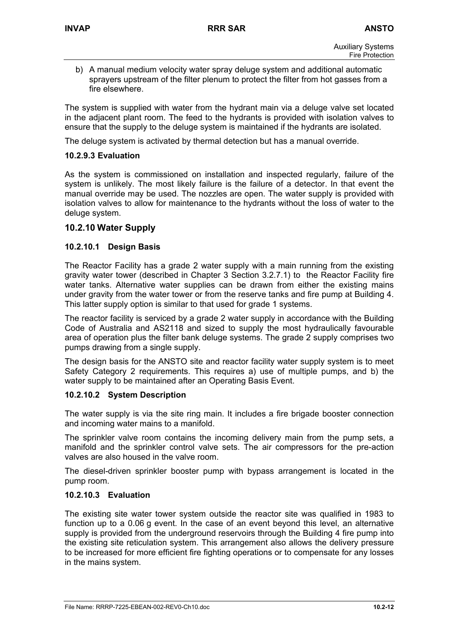b) A manual medium velocity water spray deluge system and additional automatic sprayers upstream of the filter plenum to protect the filter from hot gasses from a fire elsewhere.

The system is supplied with water from the hydrant main via a deluge valve set located in the adjacent plant room. The feed to the hydrants is provided with isolation valves to ensure that the supply to the deluge system is maintained if the hydrants are isolated.

The deluge system is activated by thermal detection but has a manual override.

#### **10.2.9.3 Evaluation**

As the system is commissioned on installation and inspected regularly, failure of the system is unlikely. The most likely failure is the failure of a detector. In that event the manual override may be used. The nozzles are open. The water supply is provided with isolation valves to allow for maintenance to the hydrants without the loss of water to the deluge system.

# **10.2.10 Water Supply**

#### **10.2.10.1 Design Basis**

The Reactor Facility has a grade 2 water supply with a main running from the existing gravity water tower (described in Chapter 3 Section 3.2.7.1) to the Reactor Facility fire water tanks. Alternative water supplies can be drawn from either the existing mains under gravity from the water tower or from the reserve tanks and fire pump at Building 4. This latter supply option is similar to that used for grade 1 systems.

The reactor facility is serviced by a grade 2 water supply in accordance with the Building Code of Australia and AS2118 and sized to supply the most hydraulically favourable area of operation plus the filter bank deluge systems. The grade 2 supply comprises two pumps drawing from a single supply.

The design basis for the ANSTO site and reactor facility water supply system is to meet Safety Category 2 requirements. This requires a) use of multiple pumps, and b) the water supply to be maintained after an Operating Basis Event.

#### **10.2.10.2 System Description**

The water supply is via the site ring main. It includes a fire brigade booster connection and incoming water mains to a manifold.

The sprinkler valve room contains the incoming delivery main from the pump sets, a manifold and the sprinkler control valve sets. The air compressors for the pre-action valves are also housed in the valve room.

The diesel-driven sprinkler booster pump with bypass arrangement is located in the pump room.

#### **10.2.10.3 Evaluation**

The existing site water tower system outside the reactor site was qualified in 1983 to function up to a 0.06 g event. In the case of an event beyond this level, an alternative supply is provided from the underground reservoirs through the Building 4 fire pump into the existing site reticulation system. This arrangement also allows the delivery pressure to be increased for more efficient fire fighting operations or to compensate for any losses in the mains system.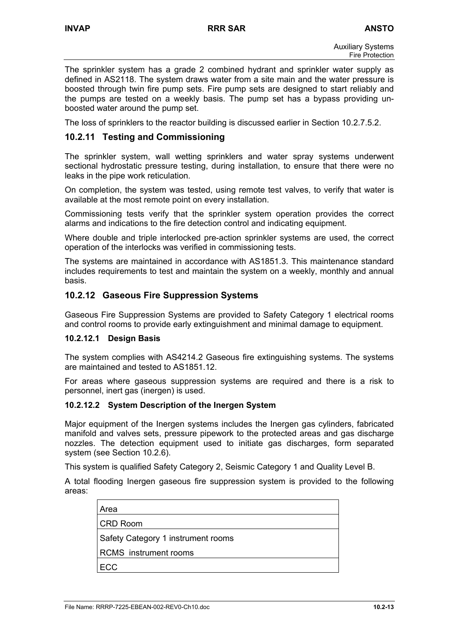The sprinkler system has a grade 2 combined hydrant and sprinkler water supply as defined in AS2118. The system draws water from a site main and the water pressure is boosted through twin fire pump sets. Fire pump sets are designed to start reliably and the pumps are tested on a weekly basis. The pump set has a bypass providing unboosted water around the pump set.

The loss of sprinklers to the reactor building is discussed earlier in Section 10.2.7.5.2.

# **10.2.11 Testing and Commissioning**

The sprinkler system, wall wetting sprinklers and water spray systems underwent sectional hydrostatic pressure testing, during installation, to ensure that there were no leaks in the pipe work reticulation.

On completion, the system was tested, using remote test valves, to verify that water is available at the most remote point on every installation.

Commissioning tests verify that the sprinkler system operation provides the correct alarms and indications to the fire detection control and indicating equipment.

Where double and triple interlocked pre-action sprinkler systems are used, the correct operation of the interlocks was verified in commissioning tests.

The systems are maintained in accordance with AS1851.3. This maintenance standard includes requirements to test and maintain the system on a weekly, monthly and annual basis.

# **10.2.12 Gaseous Fire Suppression Systems**

Gaseous Fire Suppression Systems are provided to Safety Category 1 electrical rooms and control rooms to provide early extinguishment and minimal damage to equipment.

#### **10.2.12.1 Design Basis**

The system complies with AS4214.2 Gaseous fire extinguishing systems. The systems are maintained and tested to AS1851.12.

For areas where gaseous suppression systems are required and there is a risk to personnel, inert gas (inergen) is used.

#### **10.2.12.2 System Description of the Inergen System**

Major equipment of the Inergen systems includes the Inergen gas cylinders, fabricated manifold and valves sets, pressure pipework to the protected areas and gas discharge nozzles. The detection equipment used to initiate gas discharges, form separated system (see Section 10.2.6).

This system is qualified Safety Category 2, Seismic Category 1 and Quality Level B.

A total flooding Inergen gaseous fire suppression system is provided to the following areas:

| Area                               |
|------------------------------------|
| CRD Room                           |
| Safety Category 1 instrument rooms |
| <b>RCMS</b> instrument rooms       |
| FCC.                               |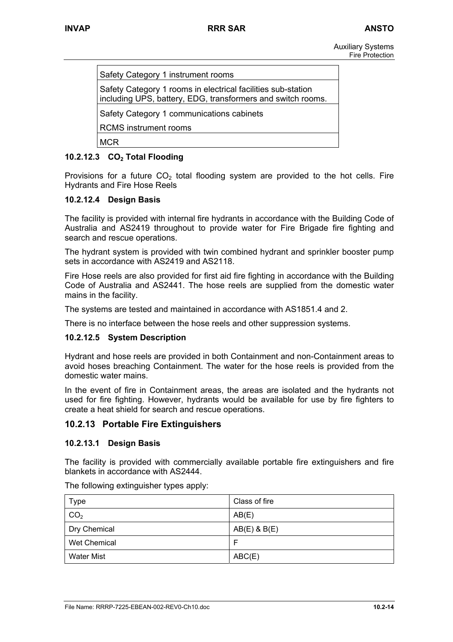| Safety Category 1 instrument rooms                                                                                          |
|-----------------------------------------------------------------------------------------------------------------------------|
| Safety Category 1 rooms in electrical facilities sub-station<br>including UPS, battery, EDG, transformers and switch rooms. |
| Safety Category 1 communications cabinets                                                                                   |
| <b>RCMS</b> instrument rooms                                                                                                |
| MCR                                                                                                                         |

# **10.2.12.3 CO2 Total Flooding**

Provisions for a future  $CO<sub>2</sub>$  total flooding system are provided to the hot cells. Fire Hydrants and Fire Hose Reels

# **10.2.12.4 Design Basis**

The facility is provided with internal fire hydrants in accordance with the Building Code of Australia and AS2419 throughout to provide water for Fire Brigade fire fighting and search and rescue operations.

The hydrant system is provided with twin combined hydrant and sprinkler booster pump sets in accordance with AS2419 and AS2118.

Fire Hose reels are also provided for first aid fire fighting in accordance with the Building Code of Australia and AS2441. The hose reels are supplied from the domestic water mains in the facility.

The systems are tested and maintained in accordance with AS1851.4 and 2.

There is no interface between the hose reels and other suppression systems.

#### **10.2.12.5 System Description**

Hydrant and hose reels are provided in both Containment and non-Containment areas to avoid hoses breaching Containment. The water for the hose reels is provided from the domestic water mains.

In the event of fire in Containment areas, the areas are isolated and the hydrants not used for fire fighting. However, hydrants would be available for use by fire fighters to create a heat shield for search and rescue operations.

# **10.2.13 Portable Fire Extinguishers**

#### **10.2.13.1 Design Basis**

The facility is provided with commercially available portable fire extinguishers and fire blankets in accordance with AS2444.

| Type                | Class of fire    |
|---------------------|------------------|
| CO <sub>2</sub>     | AB(E)            |
| Dry Chemical        | $AB(E)$ & $B(E)$ |
| <b>Wet Chemical</b> | F                |
| <b>Water Mist</b>   | ABC(E)           |

The following extinguisher types apply: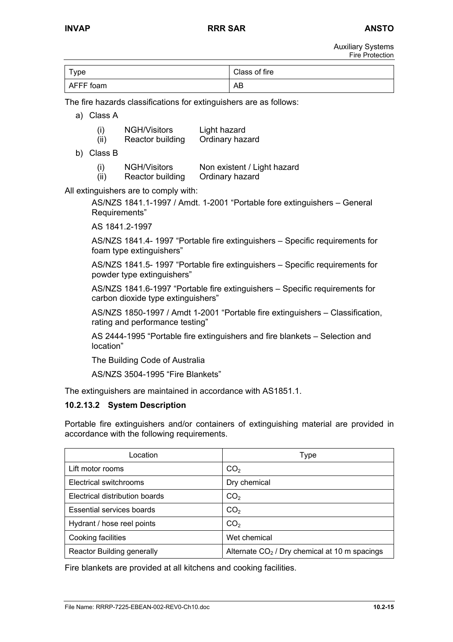Auxiliary Systems Fire Protection

| Type      | Class of fire |
|-----------|---------------|
| AFFF foam | AB            |

The fire hazards classifications for extinguishers are as follows:

- a) Class A
	- (i) NGH/Visitors Light hazard
	- (ii) Reactor building Ordinary hazard
- b) Class B

| (i)  | <b>NGH/Visitors</b> | Non existent / Light hazard |
|------|---------------------|-----------------------------|
| (ii) | Reactor building    | Ordinary hazard             |

All extinguishers are to comply with:

AS/NZS 1841.1-1997 / Amdt. 1-2001 "Portable fore extinguishers – General Requirements"

AS 1841.2-1997

AS/NZS 1841.4- 1997 "Portable fire extinguishers – Specific requirements for foam type extinguishers"

AS/NZS 1841.5- 1997 "Portable fire extinguishers – Specific requirements for powder type extinguishers"

AS/NZS 1841.6-1997 "Portable fire extinguishers – Specific requirements for carbon dioxide type extinguishers"

AS/NZS 1850-1997 / Amdt 1-2001 "Portable fire extinguishers – Classification, rating and performance testing"

AS 2444-1995 "Portable fire extinguishers and fire blankets – Selection and location"

The Building Code of Australia

AS/NZS 3504-1995 "Fire Blankets"

The extinguishers are maintained in accordance with AS1851.1.

# **10.2.13.2 System Description**

Portable fire extinguishers and/or containers of extinguishing material are provided in accordance with the following requirements.

| Location                          | Type                                            |
|-----------------------------------|-------------------------------------------------|
| Lift motor rooms                  | CO <sub>2</sub>                                 |
| Electrical switchrooms            | Dry chemical                                    |
| Electrical distribution boards    | CO <sub>2</sub>                                 |
| Essential services boards         | CO <sub>2</sub>                                 |
| Hydrant / hose reel points        | CO <sub>2</sub>                                 |
| Cooking facilities                | Wet chemical                                    |
| <b>Reactor Building generally</b> | Alternate $CO2$ / Dry chemical at 10 m spacings |

Fire blankets are provided at all kitchens and cooking facilities.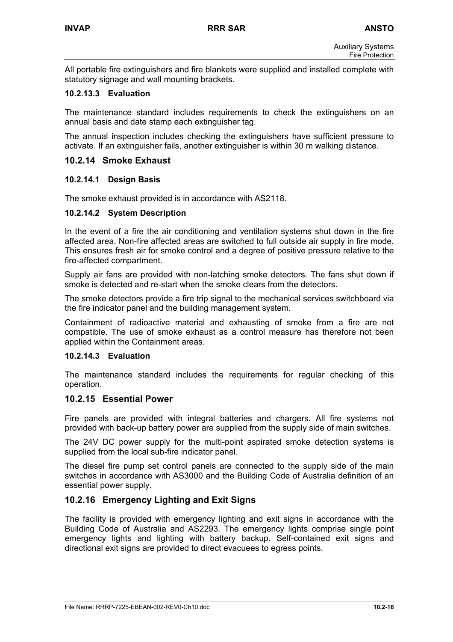All portable fire extinguishers and fire blankets were supplied and installed complete with statutory signage and wall mounting brackets.

### **10.2.13.3 Evaluation**

The maintenance standard includes requirements to check the extinguishers on an annual basis and date stamp each extinguisher tag.

The annual inspection includes checking the extinguishers have sufficient pressure to activate. If an extinguisher fails, another extinguisher is within 30 m walking distance.

### **10.2.14 Smoke Exhaust**

### **10.2.14.1 Design Basis**

The smoke exhaust provided is in accordance with AS2118.

#### **10.2.14.2 System Description**

In the event of a fire the air conditioning and ventilation systems shut down in the fire affected area. Non-fire affected areas are switched to full outside air supply in fire mode. This ensures fresh air for smoke control and a degree of positive pressure relative to the fire-affected compartment.

Supply air fans are provided with non-latching smoke detectors. The fans shut down if smoke is detected and re-start when the smoke clears from the detectors.

The smoke detectors provide a fire trip signal to the mechanical services switchboard via the fire indicator panel and the building management system.

Containment of radioactive material and exhausting of smoke from a fire are not compatible. The use of smoke exhaust as a control measure has therefore not been applied within the Containment areas.

### **10.2.14.3 Evaluation**

The maintenance standard includes the requirements for regular checking of this operation.

### **10.2.15 Essential Power**

Fire panels are provided with integral batteries and chargers. All fire systems not provided with back-up battery power are supplied from the supply side of main switches.

The 24V DC power supply for the multi-point aspirated smoke detection systems is supplied from the local sub-fire indicator panel.

The diesel fire pump set control panels are connected to the supply side of the main switches in accordance with AS3000 and the Building Code of Australia definition of an essential power supply.

# **10.2.16 Emergency Lighting and Exit Signs**

The facility is provided with emergency lighting and exit signs in accordance with the Building Code of Australia and AS2293. The emergency lights comprise single point emergency lights and lighting with battery backup. Self-contained exit signs and directional exit signs are provided to direct evacuees to egress points.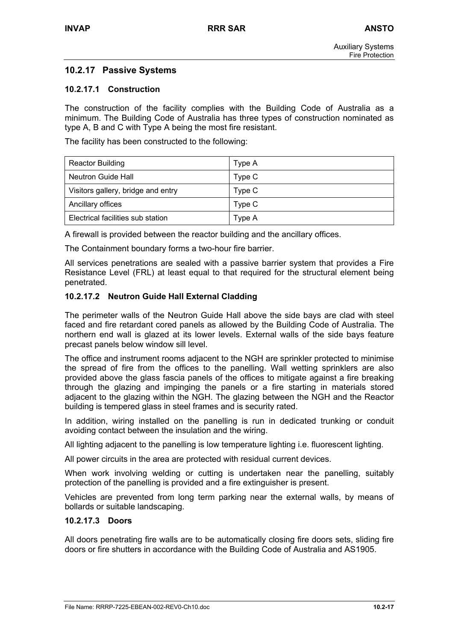# **10.2.17 Passive Systems**

### **10.2.17.1 Construction**

The construction of the facility complies with the Building Code of Australia as a minimum. The Building Code of Australia has three types of construction nominated as type A, B and C with Type A being the most fire resistant.

The facility has been constructed to the following:

| <b>Reactor Building</b>            | Type A |
|------------------------------------|--------|
| <b>Neutron Guide Hall</b>          | Type C |
| Visitors gallery, bridge and entry | Type C |
| Ancillary offices                  | Type C |
| Electrical facilities sub station  | Type A |

A firewall is provided between the reactor building and the ancillary offices.

The Containment boundary forms a two-hour fire barrier.

All services penetrations are sealed with a passive barrier system that provides a Fire Resistance Level (FRL) at least equal to that required for the structural element being penetrated.

#### **10.2.17.2 Neutron Guide Hall External Cladding**

The perimeter walls of the Neutron Guide Hall above the side bays are clad with steel faced and fire retardant cored panels as allowed by the Building Code of Australia. The northern end wall is glazed at its lower levels. External walls of the side bays feature precast panels below window sill level.

The office and instrument rooms adjacent to the NGH are sprinkler protected to minimise the spread of fire from the offices to the panelling. Wall wetting sprinklers are also provided above the glass fascia panels of the offices to mitigate against a fire breaking through the glazing and impinging the panels or a fire starting in materials stored adjacent to the glazing within the NGH. The glazing between the NGH and the Reactor building is tempered glass in steel frames and is security rated.

In addition, wiring installed on the panelling is run in dedicated trunking or conduit avoiding contact between the insulation and the wiring.

All lighting adjacent to the panelling is low temperature lighting i.e. fluorescent lighting.

All power circuits in the area are protected with residual current devices.

When work involving welding or cutting is undertaken near the panelling, suitably protection of the panelling is provided and a fire extinguisher is present.

Vehicles are prevented from long term parking near the external walls, by means of bollards or suitable landscaping.

#### **10.2.17.3 Doors**

All doors penetrating fire walls are to be automatically closing fire doors sets, sliding fire doors or fire shutters in accordance with the Building Code of Australia and AS1905.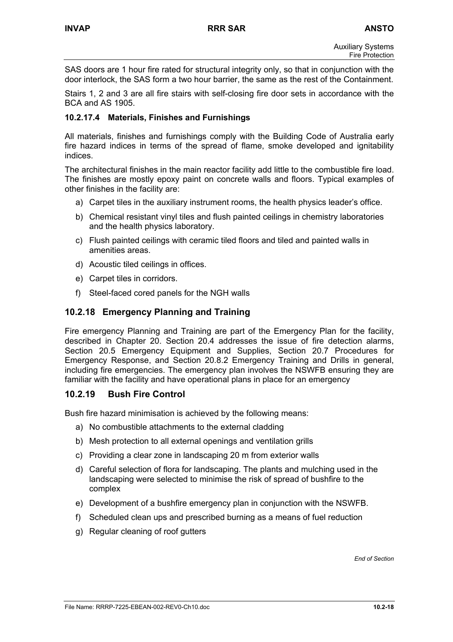SAS doors are 1 hour fire rated for structural integrity only, so that in conjunction with the door interlock, the SAS form a two hour barrier, the same as the rest of the Containment.

Stairs 1, 2 and 3 are all fire stairs with self-closing fire door sets in accordance with the BCA and AS 1905.

### **10.2.17.4 Materials, Finishes and Furnishings**

All materials, finishes and furnishings comply with the Building Code of Australia early fire hazard indices in terms of the spread of flame, smoke developed and ignitability indices.

The architectural finishes in the main reactor facility add little to the combustible fire load. The finishes are mostly epoxy paint on concrete walls and floors. Typical examples of other finishes in the facility are:

- a) Carpet tiles in the auxiliary instrument rooms, the health physics leader's office.
- b) Chemical resistant vinyl tiles and flush painted ceilings in chemistry laboratories and the health physics laboratory.
- c) Flush painted ceilings with ceramic tiled floors and tiled and painted walls in amenities areas.
- d) Acoustic tiled ceilings in offices.
- e) Carpet tiles in corridors.
- f) Steel-faced cored panels for the NGH walls

# **10.2.18 Emergency Planning and Training**

Fire emergency Planning and Training are part of the Emergency Plan for the facility, described in Chapter 20. Section 20.4 addresses the issue of fire detection alarms, Section 20.5 Emergency Equipment and Supplies, Section 20.7 Procedures for Emergency Response, and Section 20.8.2 Emergency Training and Drills in general, including fire emergencies. The emergency plan involves the NSWFB ensuring they are familiar with the facility and have operational plans in place for an emergency

# **10.2.19 Bush Fire Control**

Bush fire hazard minimisation is achieved by the following means:

- a) No combustible attachments to the external cladding
- b) Mesh protection to all external openings and ventilation grills
- c) Providing a clear zone in landscaping 20 m from exterior walls
- d) Careful selection of flora for landscaping. The plants and mulching used in the landscaping were selected to minimise the risk of spread of bushfire to the complex
- e) Development of a bushfire emergency plan in conjunction with the NSWFB.
- f) Scheduled clean ups and prescribed burning as a means of fuel reduction
- g) Regular cleaning of roof gutters

*End of Section*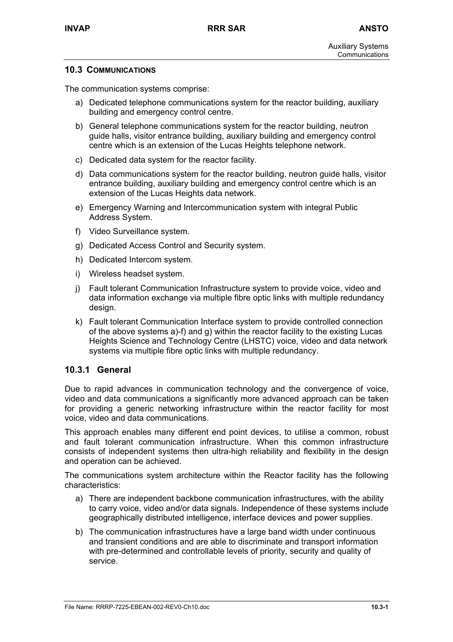### **10.3 COMMUNICATIONS**

The communication systems comprise:

- a) Dedicated telephone communications system for the reactor building, auxiliary building and emergency control centre.
- b) General telephone communications system for the reactor building, neutron guide halls, visitor entrance building, auxiliary building and emergency control centre which is an extension of the Lucas Heights telephone network.
- c) Dedicated data system for the reactor facility.
- d) Data communications system for the reactor building, neutron guide halls, visitor entrance building, auxiliary building and emergency control centre which is an extension of the Lucas Heights data network.
- e) Emergency Warning and Intercommunication system with integral Public Address System.
- f) Video Surveillance system.
- g) Dedicated Access Control and Security system.
- h) Dedicated Intercom system.
- i) Wireless headset system.
- j) Fault tolerant Communication Infrastructure system to provide voice, video and data information exchange via multiple fibre optic links with multiple redundancy design.
- k) Fault tolerant Communication Interface system to provide controlled connection of the above systems a)-f) and g) within the reactor facility to the existing Lucas Heights Science and Technology Centre (LHSTC) voice, video and data network systems via multiple fibre optic links with multiple redundancy.

# **10.3.1 General**

Due to rapid advances in communication technology and the convergence of voice, video and data communications a significantly more advanced approach can be taken for providing a generic networking infrastructure within the reactor facility for most voice, video and data communications.

This approach enables many different end point devices, to utilise a common, robust and fault tolerant communication infrastructure. When this common infrastructure consists of independent systems then ultra-high reliability and flexibility in the design and operation can be achieved.

The communications system architecture within the Reactor facility has the following characteristics:

- a) There are independent backbone communication infrastructures, with the ability to carry voice, video and/or data signals. Independence of these systems include geographically distributed intelligence, interface devices and power supplies.
- b) The communication infrastructures have a large band width under continuous and transient conditions and are able to discriminate and transport information with pre-determined and controllable levels of priority, security and quality of service.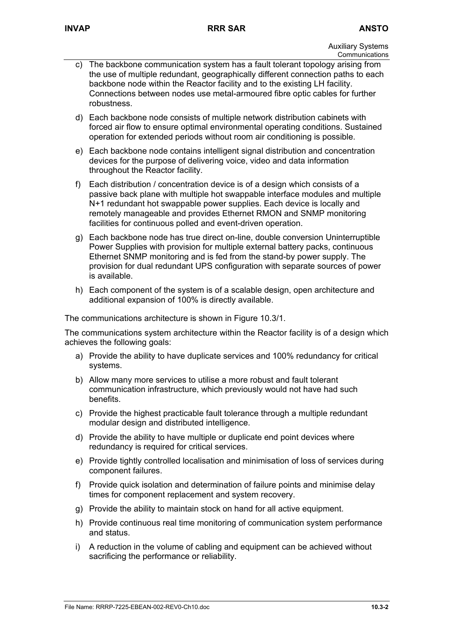- c) The backbone communication system has a fault tolerant topology arising from the use of multiple redundant, geographically different connection paths to each backbone node within the Reactor facility and to the existing LH facility. Connections between nodes use metal-armoured fibre optic cables for further robustness.
- d) Each backbone node consists of multiple network distribution cabinets with forced air flow to ensure optimal environmental operating conditions. Sustained operation for extended periods without room air conditioning is possible.
- e) Each backbone node contains intelligent signal distribution and concentration devices for the purpose of delivering voice, video and data information throughout the Reactor facility.
- f) Each distribution / concentration device is of a design which consists of a passive back plane with multiple hot swappable interface modules and multiple N+1 redundant hot swappable power supplies. Each device is locally and remotely manageable and provides Ethernet RMON and SNMP monitoring facilities for continuous polled and event-driven operation.
- g) Each backbone node has true direct on-line, double conversion Uninterruptible Power Supplies with provision for multiple external battery packs, continuous Ethernet SNMP monitoring and is fed from the stand-by power supply. The provision for dual redundant UPS configuration with separate sources of power is available.
- h) Each component of the system is of a scalable design, open architecture and additional expansion of 100% is directly available.

The communications architecture is shown in Figure 10.3/1.

The communications system architecture within the Reactor facility is of a design which achieves the following goals:

- a) Provide the ability to have duplicate services and 100% redundancy for critical systems.
- b) Allow many more services to utilise a more robust and fault tolerant communication infrastructure, which previously would not have had such benefits.
- c) Provide the highest practicable fault tolerance through a multiple redundant modular design and distributed intelligence.
- d) Provide the ability to have multiple or duplicate end point devices where redundancy is required for critical services.
- e) Provide tightly controlled localisation and minimisation of loss of services during component failures.
- f) Provide quick isolation and determination of failure points and minimise delay times for component replacement and system recovery.
- g) Provide the ability to maintain stock on hand for all active equipment.
- h) Provide continuous real time monitoring of communication system performance and status.
- i) A reduction in the volume of cabling and equipment can be achieved without sacrificing the performance or reliability.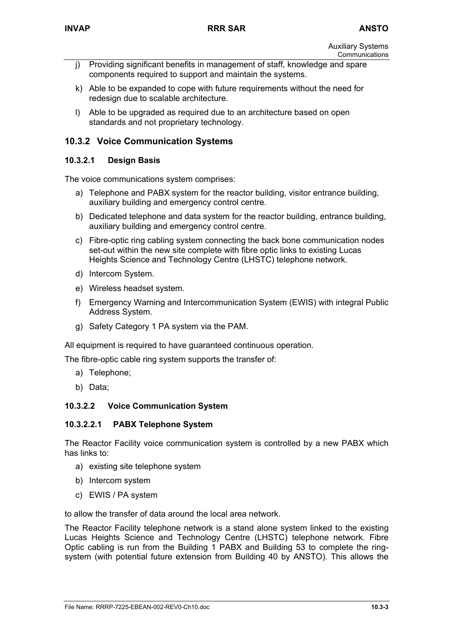- j) Providing significant benefits in management of staff, knowledge and spare components required to support and maintain the systems.
- k) Able to be expanded to cope with future requirements without the need for redesign due to scalable architecture.
- l) Able to be upgraded as required due to an architecture based on open standards and not proprietary technology.

# **10.3.2 Voice Communication Systems**

### **10.3.2.1 Design Basis**

The voice communications system comprises:

- a) Telephone and PABX system for the reactor building, visitor entrance building, auxiliary building and emergency control centre.
- b) Dedicated telephone and data system for the reactor building, entrance building, auxiliary building and emergency control centre.
- c) Fibre-optic ring cabling system connecting the back bone communication nodes set-out within the new site complete with fibre optic links to existing Lucas Heights Science and Technology Centre (LHSTC) telephone network.
- d) Intercom System.
- e) Wireless headset system.
- f) Emergency Warning and Intercommunication System (EWIS) with integral Public Address System.
- g) Safety Category 1 PA system via the PAM.

All equipment is required to have guaranteed continuous operation.

The fibre-optic cable ring system supports the transfer of:

- a) Telephone;
- b) Data;

# **10.3.2.2 Voice Communication System**

#### **10.3.2.2.1 PABX Telephone System**

The Reactor Facility voice communication system is controlled by a new PABX which has links to:

- a) existing site telephone system
- b) Intercom system
- c) EWIS / PA system

to allow the transfer of data around the local area network.

The Reactor Facility telephone network is a stand alone system linked to the existing Lucas Heights Science and Technology Centre (LHSTC) telephone network. Fibre Optic cabling is run from the Building 1 PABX and Building 53 to complete the ringsystem (with potential future extension from Building 40 by ANSTO). This allows the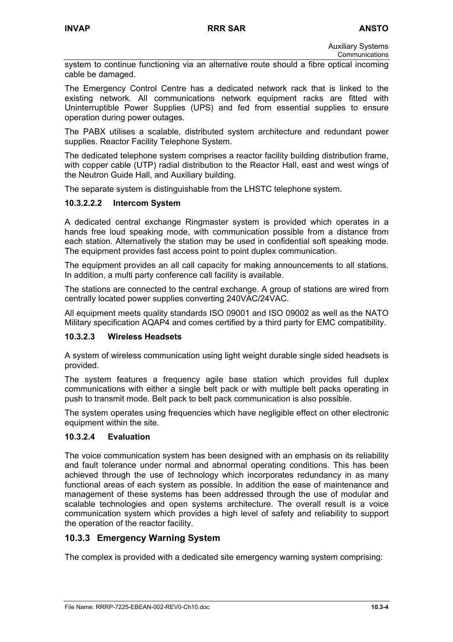Auxiliary Systems Communications

system to continue functioning via an alternative route should a fibre optical incoming cable be damaged.

The Emergency Control Centre has a dedicated network rack that is linked to the existing network. All communications network equipment racks are fitted with Uninterruptible Power Supplies (UPS) and fed from essential supplies to ensure operation during power outages.

The PABX utilises a scalable, distributed system architecture and redundant power supplies. Reactor Facility Telephone System.

The dedicated telephone system comprises a reactor facility building distribution frame, with copper cable (UTP) radial distribution to the Reactor Hall, east and west wings of the Neutron Guide Hall, and Auxiliary building.

The separate system is distinguishable from the LHSTC telephone system.

# **10.3.2.2.2 Intercom System**

A dedicated central exchange Ringmaster system is provided which operates in a hands free loud speaking mode, with communication possible from a distance from each station. Alternatively the station may be used in confidential soft speaking mode. The equipment provides fast access point to point duplex communication.

The equipment provides an all call capacity for making announcements to all stations. In addition, a multi party conference call facility is available.

The stations are connected to the central exchange. A group of stations are wired from centrally located power supplies converting 240VAC/24VAC.

All equipment meets quality standards ISO 09001 and ISO 09002 as well as the NATO Military specification AQAP4 and comes certified by a third party for EMC compatibility.

#### **10.3.2.3 Wireless Headsets**

A system of wireless communication using light weight durable single sided headsets is provided.

The system features a frequency agile base station which provides full duplex communications with either a single belt pack or with multiple belt packs operating in push to transmit mode. Belt pack to belt pack communication is also possible.

The system operates using frequencies which have negligible effect on other electronic equipment within the site.

#### **10.3.2.4 Evaluation**

The voice communication system has been designed with an emphasis on its reliability and fault tolerance under normal and abnormal operating conditions. This has been achieved through the use of technology which incorporates redundancy in as many functional areas of each system as possible. In addition the ease of maintenance and management of these systems has been addressed through the use of modular and scalable technologies and open systems architecture. The overall result is a voice communication system which provides a high level of safety and reliability to support the operation of the reactor facility.

# **10.3.3 Emergency Warning System**

The complex is provided with a dedicated site emergency warning system comprising: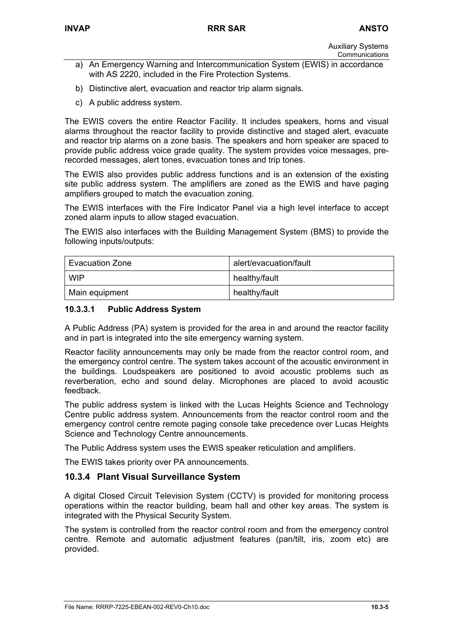- a) An Emergency Warning and Intercommunication System (EWIS) in accordance with AS 2220, included in the Fire Protection Systems.
- b) Distinctive alert, evacuation and reactor trip alarm signals.
- c) A public address system.

The EWIS covers the entire Reactor Facility. It includes speakers, horns and visual alarms throughout the reactor facility to provide distinctive and staged alert, evacuate and reactor trip alarms on a zone basis. The speakers and horn speaker are spaced to provide public address voice grade quality. The system provides voice messages, prerecorded messages, alert tones, evacuation tones and trip tones.

The EWIS also provides public address functions and is an extension of the existing site public address system. The amplifiers are zoned as the EWIS and have paging amplifiers grouped to match the evacuation zoning.

The EWIS interfaces with the Fire Indicator Panel via a high level interface to accept zoned alarm inputs to allow staged evacuation.

The EWIS also interfaces with the Building Management System (BMS) to provide the following inputs/outputs:

| <b>Evacuation Zone</b> | alert/evacuation/fault |
|------------------------|------------------------|
| <b>WIP</b>             | healthy/fault          |
| Main equipment         | healthy/fault          |

### **10.3.3.1 Public Address System**

A Public Address (PA) system is provided for the area in and around the reactor facility and in part is integrated into the site emergency warning system.

Reactor facility announcements may only be made from the reactor control room, and the emergency control centre. The system takes account of the acoustic environment in the buildings. Loudspeakers are positioned to avoid acoustic problems such as reverberation, echo and sound delay. Microphones are placed to avoid acoustic feedback.

The public address system is linked with the Lucas Heights Science and Technology Centre public address system. Announcements from the reactor control room and the emergency control centre remote paging console take precedence over Lucas Heights Science and Technology Centre announcements.

The Public Address system uses the EWIS speaker reticulation and amplifiers.

The EWIS takes priority over PA announcements.

# **10.3.4 Plant Visual Surveillance System**

A digital Closed Circuit Television System (CCTV) is provided for monitoring process operations within the reactor building, beam hall and other key areas. The system is integrated with the Physical Security System.

The system is controlled from the reactor control room and from the emergency control centre. Remote and automatic adjustment features (pan/tilt, iris, zoom etc) are provided.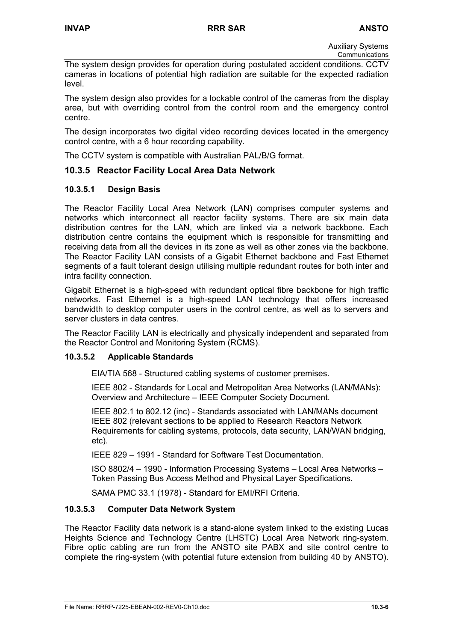Auxiliary Systems Communications

The system design provides for operation during postulated accident conditions. CCTV cameras in locations of potential high radiation are suitable for the expected radiation level.

The system design also provides for a lockable control of the cameras from the display area, but with overriding control from the control room and the emergency control centre.

The design incorporates two digital video recording devices located in the emergency control centre, with a 6 hour recording capability.

The CCTV system is compatible with Australian PAL/B/G format.

# **10.3.5 Reactor Facility Local Area Data Network**

### **10.3.5.1 Design Basis**

The Reactor Facility Local Area Network (LAN) comprises computer systems and networks which interconnect all reactor facility systems. There are six main data distribution centres for the LAN, which are linked via a network backbone. Each distribution centre contains the equipment which is responsible for transmitting and receiving data from all the devices in its zone as well as other zones via the backbone. The Reactor Facility LAN consists of a Gigabit Ethernet backbone and Fast Ethernet segments of a fault tolerant design utilising multiple redundant routes for both inter and intra facility connection.

Gigabit Ethernet is a high-speed with redundant optical fibre backbone for high traffic networks. Fast Ethernet is a high-speed LAN technology that offers increased bandwidth to desktop computer users in the control centre, as well as to servers and server clusters in data centres.

The Reactor Facility LAN is electrically and physically independent and separated from the Reactor Control and Monitoring System (RCMS).

#### **10.3.5.2 Applicable Standards**

EIA/TIA 568 - Structured cabling systems of customer premises.

IEEE 802 - Standards for Local and Metropolitan Area Networks (LAN/MANs): Overview and Architecture – IEEE Computer Society Document.

IEEE 802.1 to 802.12 (inc) - Standards associated with LAN/MANs document IEEE 802 (relevant sections to be applied to Research Reactors Network Requirements for cabling systems, protocols, data security, LAN/WAN bridging, etc).

IEEE 829 – 1991 - Standard for Software Test Documentation.

ISO 8802/4 – 1990 - Information Processing Systems – Local Area Networks – Token Passing Bus Access Method and Physical Layer Specifications.

SAMA PMC 33.1 (1978) - Standard for EMI/RFI Criteria.

# **10.3.5.3 Computer Data Network System**

The Reactor Facility data network is a stand-alone system linked to the existing Lucas Heights Science and Technology Centre (LHSTC) Local Area Network ring-system. Fibre optic cabling are run from the ANSTO site PABX and site control centre to complete the ring-system (with potential future extension from building 40 by ANSTO).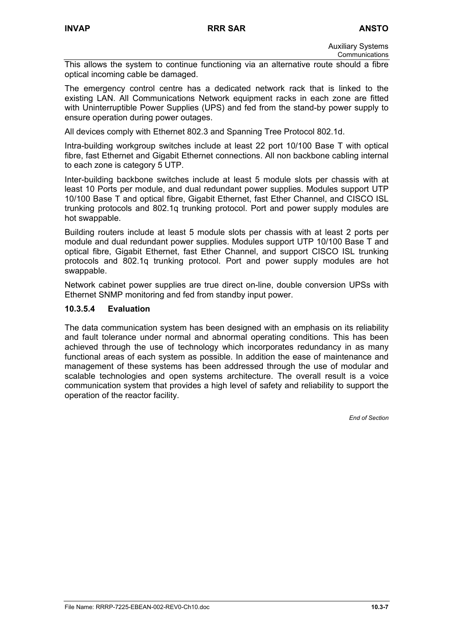Auxiliary Systems Communications

This allows the system to continue functioning via an alternative route should a fibre optical incoming cable be damaged.

The emergency control centre has a dedicated network rack that is linked to the existing LAN. All Communications Network equipment racks in each zone are fitted with Uninterruptible Power Supplies (UPS) and fed from the stand-by power supply to ensure operation during power outages.

All devices comply with Ethernet 802.3 and Spanning Tree Protocol 802.1d.

Intra-building workgroup switches include at least 22 port 10/100 Base T with optical fibre, fast Ethernet and Gigabit Ethernet connections. All non backbone cabling internal to each zone is category 5 UTP.

Inter-building backbone switches include at least 5 module slots per chassis with at least 10 Ports per module, and dual redundant power supplies. Modules support UTP 10/100 Base T and optical fibre, Gigabit Ethernet, fast Ether Channel, and CISCO ISL trunking protocols and 802.1q trunking protocol. Port and power supply modules are hot swappable.

Building routers include at least 5 module slots per chassis with at least 2 ports per module and dual redundant power supplies. Modules support UTP 10/100 Base T and optical fibre, Gigabit Ethernet, fast Ether Channel, and support CISCO ISL trunking protocols and 802.1q trunking protocol. Port and power supply modules are hot swappable.

Network cabinet power supplies are true direct on-line, double conversion UPSs with Ethernet SNMP monitoring and fed from standby input power.

### **10.3.5.4 Evaluation**

The data communication system has been designed with an emphasis on its reliability and fault tolerance under normal and abnormal operating conditions. This has been achieved through the use of technology which incorporates redundancy in as many functional areas of each system as possible. In addition the ease of maintenance and management of these systems has been addressed through the use of modular and scalable technologies and open systems architecture. The overall result is a voice communication system that provides a high level of safety and reliability to support the operation of the reactor facility.

*End of Section*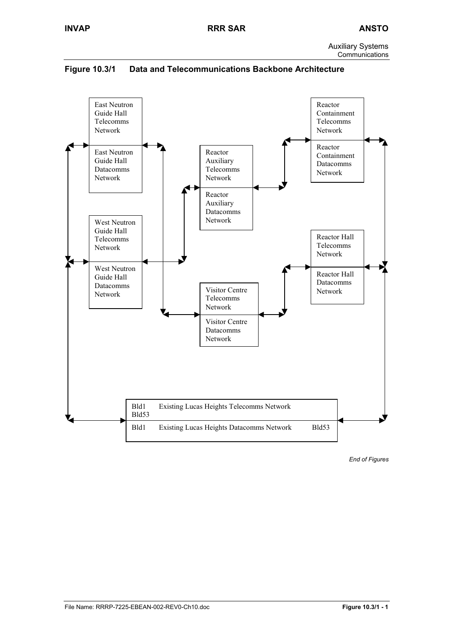

Bld1 Existing Lucas Heights Telecomms Network

Bld1 Existing Lucas Heights Datacomms Network Bld53

**Figure 10.3/1 Data and Telecommunications Backbone Architecture** 

*End of Figures* 

Bld53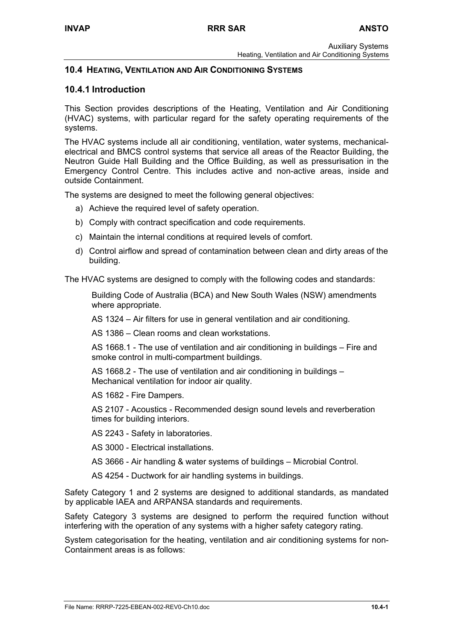# **10.4 HEATING, VENTILATION AND AIR CONDITIONING SYSTEMS**

# **10.4.1 Introduction**

This Section provides descriptions of the Heating, Ventilation and Air Conditioning (HVAC) systems, with particular regard for the safety operating requirements of the systems.

The HVAC systems include all air conditioning, ventilation, water systems, mechanicalelectrical and BMCS control systems that service all areas of the Reactor Building, the Neutron Guide Hall Building and the Office Building, as well as pressurisation in the Emergency Control Centre. This includes active and non-active areas, inside and outside Containment.

The systems are designed to meet the following general objectives:

- a) Achieve the required level of safety operation.
- b) Comply with contract specification and code requirements.
- c) Maintain the internal conditions at required levels of comfort.
- d) Control airflow and spread of contamination between clean and dirty areas of the building.

The HVAC systems are designed to comply with the following codes and standards:

Building Code of Australia (BCA) and New South Wales (NSW) amendments where appropriate.

AS 1324 – Air filters for use in general ventilation and air conditioning.

AS 1386 – Clean rooms and clean workstations.

AS 1668.1 - The use of ventilation and air conditioning in buildings – Fire and smoke control in multi-compartment buildings.

AS 1668.2 - The use of ventilation and air conditioning in buildings – Mechanical ventilation for indoor air quality.

AS 1682 - Fire Dampers.

AS 2107 - Acoustics - Recommended design sound levels and reverberation times for building interiors.

AS 2243 - Safety in laboratories.

AS 3000 - Electrical installations.

AS 3666 - Air handling & water systems of buildings – Microbial Control.

AS 4254 - Ductwork for air handling systems in buildings.

Safety Category 1 and 2 systems are designed to additional standards, as mandated by applicable IAEA and ARPANSA standards and requirements.

Safety Category 3 systems are designed to perform the required function without interfering with the operation of any systems with a higher safety category rating.

System categorisation for the heating, ventilation and air conditioning systems for non-Containment areas is as follows: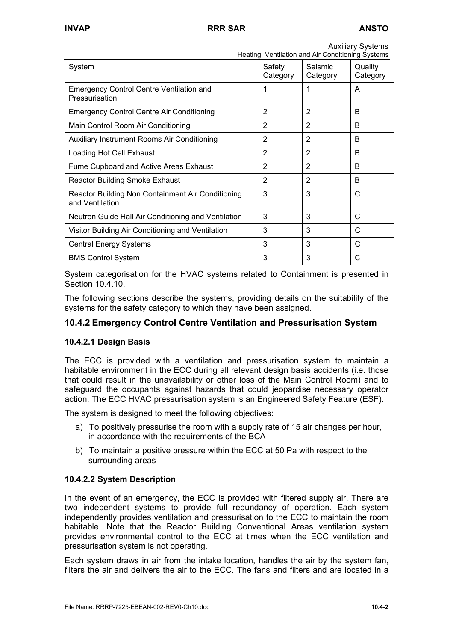| Heating, Ventilation and Air Conditioning Systems                    |                    |                     |                     |
|----------------------------------------------------------------------|--------------------|---------------------|---------------------|
| System                                                               | Safety<br>Category | Seismic<br>Category | Quality<br>Category |
| <b>Emergency Control Centre Ventilation and</b><br>Pressurisation    | 1                  | 1                   | A                   |
| <b>Emergency Control Centre Air Conditioning</b>                     | $\overline{2}$     | $\overline{2}$      | B                   |
| Main Control Room Air Conditioning                                   | 2                  | 2                   | B                   |
| Auxiliary Instrument Rooms Air Conditioning                          | 2                  | $\overline{2}$      | B                   |
| Loading Hot Cell Exhaust                                             | 2                  | 2                   | B                   |
| Fume Cupboard and Active Areas Exhaust                               | $\overline{2}$     | $\overline{2}$      | B                   |
| <b>Reactor Building Smoke Exhaust</b>                                | 2                  | $\overline{2}$      | B                   |
| Reactor Building Non Containment Air Conditioning<br>and Ventilation | 3                  | 3                   | C                   |
| Neutron Guide Hall Air Conditioning and Ventilation                  | 3                  | 3                   | C                   |
| Visitor Building Air Conditioning and Ventilation                    | 3                  | 3                   | C                   |
| <b>Central Energy Systems</b>                                        | 3                  | 3                   | C                   |
| <b>BMS Control System</b>                                            | 3                  | 3                   | С                   |

System categorisation for the HVAC systems related to Containment is presented in Section 10.4.10.

The following sections describe the systems, providing details on the suitability of the systems for the safety category to which they have been assigned.

# **10.4.2 Emergency Control Centre Ventilation and Pressurisation System**

# **10.4.2.1 Design Basis**

The ECC is provided with a ventilation and pressurisation system to maintain a habitable environment in the ECC during all relevant design basis accidents (i.e. those that could result in the unavailability or other loss of the Main Control Room) and to safeguard the occupants against hazards that could jeopardise necessary operator action. The ECC HVAC pressurisation system is an Engineered Safety Feature (ESF).

The system is designed to meet the following objectives:

- a) To positively pressurise the room with a supply rate of 15 air changes per hour, in accordance with the requirements of the BCA
- b) To maintain a positive pressure within the ECC at 50 Pa with respect to the surrounding areas

#### **10.4.2.2 System Description**

In the event of an emergency, the ECC is provided with filtered supply air. There are two independent systems to provide full redundancy of operation. Each system independently provides ventilation and pressurisation to the ECC to maintain the room habitable. Note that the Reactor Building Conventional Areas ventilation system provides environmental control to the ECC at times when the ECC ventilation and pressurisation system is not operating.

Each system draws in air from the intake location, handles the air by the system fan, filters the air and delivers the air to the ECC. The fans and filters and are located in a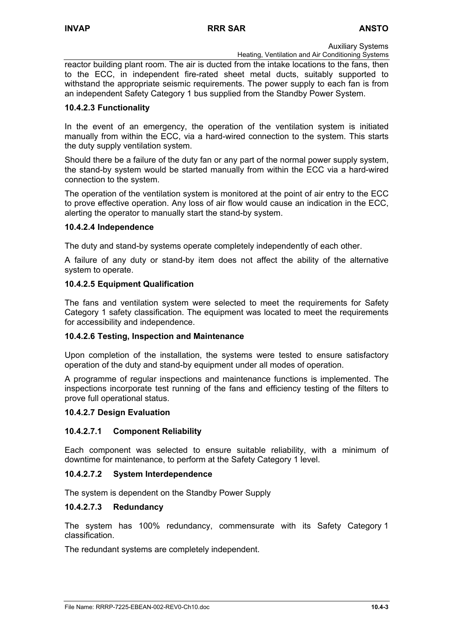Heating, Ventilation and Air Conditioning Systems

reactor building plant room. The air is ducted from the intake locations to the fans, then to the ECC, in independent fire-rated sheet metal ducts, suitably supported to withstand the appropriate seismic requirements. The power supply to each fan is from an independent Safety Category 1 bus supplied from the Standby Power System.

### **10.4.2.3 Functionality**

In the event of an emergency, the operation of the ventilation system is initiated manually from within the ECC, via a hard-wired connection to the system. This starts the duty supply ventilation system.

Should there be a failure of the duty fan or any part of the normal power supply system, the stand-by system would be started manually from within the ECC via a hard-wired connection to the system.

The operation of the ventilation system is monitored at the point of air entry to the ECC to prove effective operation. Any loss of air flow would cause an indication in the ECC, alerting the operator to manually start the stand-by system.

### **10.4.2.4 Independence**

The duty and stand-by systems operate completely independently of each other.

A failure of any duty or stand-by item does not affect the ability of the alternative system to operate.

### **10.4.2.5 Equipment Qualification**

The fans and ventilation system were selected to meet the requirements for Safety Category 1 safety classification. The equipment was located to meet the requirements for accessibility and independence.

# **10.4.2.6 Testing, Inspection and Maintenance**

Upon completion of the installation, the systems were tested to ensure satisfactory operation of the duty and stand-by equipment under all modes of operation.

A programme of regular inspections and maintenance functions is implemented. The inspections incorporate test running of the fans and efficiency testing of the filters to prove full operational status.

#### **10.4.2.7 Design Evaluation**

# **10.4.2.7.1 Component Reliability**

Each component was selected to ensure suitable reliability, with a minimum of downtime for maintenance, to perform at the Safety Category 1 level.

# **10.4.2.7.2 System Interdependence**

The system is dependent on the Standby Power Supply

#### **10.4.2.7.3 Redundancy**

The system has 100% redundancy, commensurate with its Safety Category 1 classification.

The redundant systems are completely independent.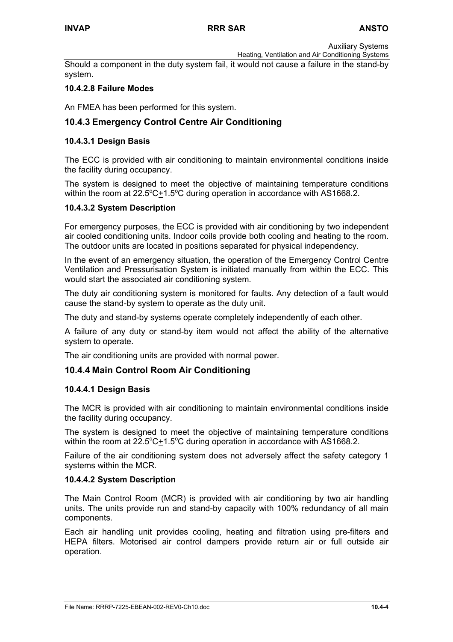Heating, Ventilation and Air Conditioning Systems Should a component in the duty system fail, it would not cause a failure in the stand-by system.

# **10.4.2.8 Failure Modes**

An FMEA has been performed for this system.

# **10.4.3 Emergency Control Centre Air Conditioning**

### **10.4.3.1 Design Basis**

The ECC is provided with air conditioning to maintain environmental conditions inside the facility during occupancy.

The system is designed to meet the objective of maintaining temperature conditions within the room at  $22.5^{\circ}C + 1.5^{\circ}C$  during operation in accordance with AS1668.2.

#### **10.4.3.2 System Description**

For emergency purposes, the ECC is provided with air conditioning by two independent air cooled conditioning units. Indoor coils provide both cooling and heating to the room. The outdoor units are located in positions separated for physical independency.

In the event of an emergency situation, the operation of the Emergency Control Centre Ventilation and Pressurisation System is initiated manually from within the ECC. This would start the associated air conditioning system.

The duty air conditioning system is monitored for faults. Any detection of a fault would cause the stand-by system to operate as the duty unit.

The duty and stand-by systems operate completely independently of each other.

A failure of any duty or stand-by item would not affect the ability of the alternative system to operate.

The air conditioning units are provided with normal power.

# **10.4.4 Main Control Room Air Conditioning**

#### **10.4.4.1 Design Basis**

The MCR is provided with air conditioning to maintain environmental conditions inside the facility during occupancy.

The system is designed to meet the objective of maintaining temperature conditions within the room at  $22.5^{\circ}$ C $\pm$ 1.5°C during operation in accordance with AS1668.2.

Failure of the air conditioning system does not adversely affect the safety category 1 systems within the MCR.

#### **10.4.4.2 System Description**

The Main Control Room (MCR) is provided with air conditioning by two air handling units. The units provide run and stand-by capacity with 100% redundancy of all main components.

Each air handling unit provides cooling, heating and filtration using pre-filters and HEPA filters. Motorised air control dampers provide return air or full outside air operation.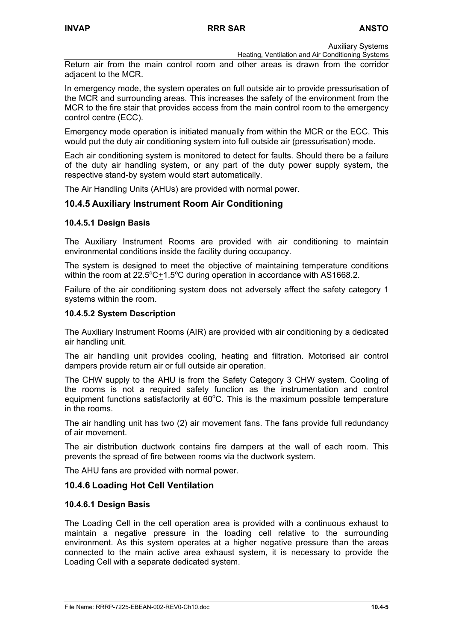Heating, Ventilation and Air Conditioning Systems Return air from the main control room and other areas is drawn from the corridor adjacent to the MCR.

In emergency mode, the system operates on full outside air to provide pressurisation of the MCR and surrounding areas. This increases the safety of the environment from the MCR to the fire stair that provides access from the main control room to the emergency control centre (ECC).

Emergency mode operation is initiated manually from within the MCR or the ECC. This would put the duty air conditioning system into full outside air (pressurisation) mode.

Each air conditioning system is monitored to detect for faults. Should there be a failure of the duty air handling system, or any part of the duty power supply system, the respective stand-by system would start automatically.

The Air Handling Units (AHUs) are provided with normal power.

# **10.4.5 Auxiliary Instrument Room Air Conditioning**

#### **10.4.5.1 Design Basis**

The Auxiliary Instrument Rooms are provided with air conditioning to maintain environmental conditions inside the facility during occupancy.

The system is designed to meet the objective of maintaining temperature conditions within the room at  $22.5^{\circ}C + 1.5^{\circ}C$  during operation in accordance with AS1668.2.

Failure of the air conditioning system does not adversely affect the safety category 1 systems within the room.

#### **10.4.5.2 System Description**

The Auxiliary Instrument Rooms (AIR) are provided with air conditioning by a dedicated air handling unit.

The air handling unit provides cooling, heating and filtration. Motorised air control dampers provide return air or full outside air operation.

The CHW supply to the AHU is from the Safety Category 3 CHW system. Cooling of the rooms is not a required safety function as the instrumentation and control equipment functions satisfactorily at  $60^{\circ}$ C. This is the maximum possible temperature in the rooms.

The air handling unit has two (2) air movement fans. The fans provide full redundancy of air movement.

The air distribution ductwork contains fire dampers at the wall of each room. This prevents the spread of fire between rooms via the ductwork system.

The AHU fans are provided with normal power.

# **10.4.6 Loading Hot Cell Ventilation**

#### **10.4.6.1 Design Basis**

The Loading Cell in the cell operation area is provided with a continuous exhaust to maintain a negative pressure in the loading cell relative to the surrounding environment. As this system operates at a higher negative pressure than the areas connected to the main active area exhaust system, it is necessary to provide the Loading Cell with a separate dedicated system.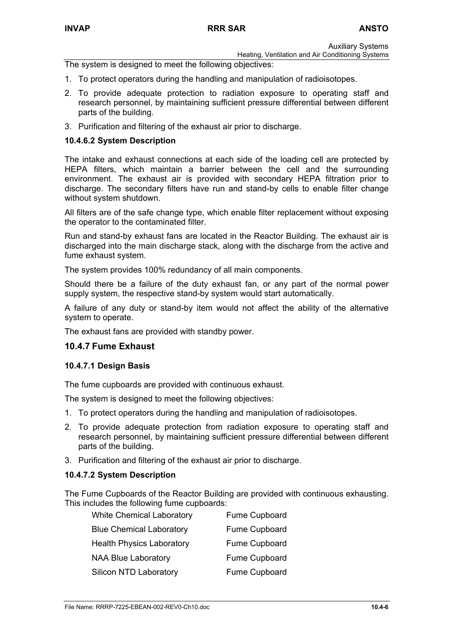Heating, Ventilation and Air Conditioning Systems

The system is designed to meet the following objectives:

- 1. To protect operators during the handling and manipulation of radioisotopes.
- 2. To provide adequate protection to radiation exposure to operating staff and research personnel, by maintaining sufficient pressure differential between different parts of the building.
- 3. Purification and filtering of the exhaust air prior to discharge.

#### **10.4.6.2 System Description**

The intake and exhaust connections at each side of the loading cell are protected by HEPA filters, which maintain a barrier between the cell and the surrounding environment. The exhaust air is provided with secondary HEPA filtration prior to discharge. The secondary filters have run and stand-by cells to enable filter change without system shutdown.

All filters are of the safe change type, which enable filter replacement without exposing the operator to the contaminated filter.

Run and stand-by exhaust fans are located in the Reactor Building. The exhaust air is discharged into the main discharge stack, along with the discharge from the active and fume exhaust system.

The system provides 100% redundancy of all main components.

Should there be a failure of the duty exhaust fan, or any part of the normal power supply system, the respective stand-by system would start automatically.

A failure of any duty or stand-by item would not affect the ability of the alternative system to operate.

The exhaust fans are provided with standby power.

### **10.4.7 Fume Exhaust**

#### **10.4.7.1 Design Basis**

The fume cupboards are provided with continuous exhaust.

The system is designed to meet the following objectives:

- 1. To protect operators during the handling and manipulation of radioisotopes.
- 2. To provide adequate protection from radiation exposure to operating staff and research personnel, by maintaining sufficient pressure differential between different parts of the building.
- 3. Purification and filtering of the exhaust air prior to discharge.

#### **10.4.7.2 System Description**

The Fume Cupboards of the Reactor Building are provided with continuous exhausting. This includes the following fume cupboards:

| <b>White Chemical Laboratory</b> | Fume Cupboard        |
|----------------------------------|----------------------|
| <b>Blue Chemical Laboratory</b>  | <b>Fume Cupboard</b> |
| <b>Health Physics Laboratory</b> | <b>Fume Cupboard</b> |
| <b>NAA Blue Laboratory</b>       | Fume Cupboard        |
| <b>Silicon NTD Laboratory</b>    | Fume Cupboard        |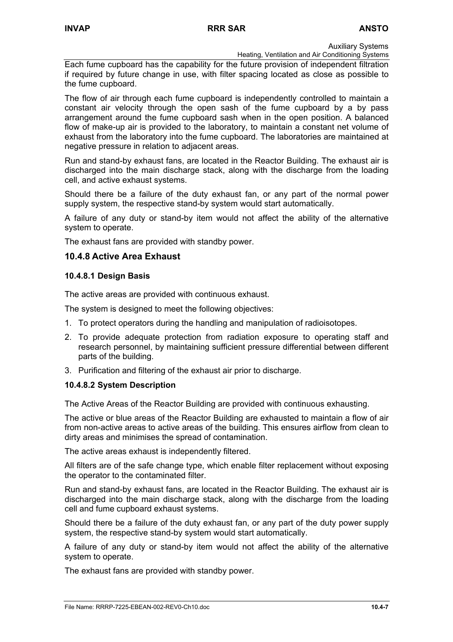Heating, Ventilation and Air Conditioning Systems

Each fume cupboard has the capability for the future provision of independent filtration if required by future change in use, with filter spacing located as close as possible to the fume cupboard.

The flow of air through each fume cupboard is independently controlled to maintain a constant air velocity through the open sash of the fume cupboard by a by pass arrangement around the fume cupboard sash when in the open position. A balanced flow of make-up air is provided to the laboratory, to maintain a constant net volume of exhaust from the laboratory into the fume cupboard. The laboratories are maintained at negative pressure in relation to adjacent areas.

Run and stand-by exhaust fans, are located in the Reactor Building. The exhaust air is discharged into the main discharge stack, along with the discharge from the loading cell, and active exhaust systems.

Should there be a failure of the duty exhaust fan, or any part of the normal power supply system, the respective stand-by system would start automatically.

A failure of any duty or stand-by item would not affect the ability of the alternative system to operate.

The exhaust fans are provided with standby power.

# **10.4.8 Active Area Exhaust**

### **10.4.8.1 Design Basis**

The active areas are provided with continuous exhaust.

The system is designed to meet the following objectives:

- 1. To protect operators during the handling and manipulation of radioisotopes.
- 2. To provide adequate protection from radiation exposure to operating staff and research personnel, by maintaining sufficient pressure differential between different parts of the building.
- 3. Purification and filtering of the exhaust air prior to discharge.

#### **10.4.8.2 System Description**

The Active Areas of the Reactor Building are provided with continuous exhausting.

The active or blue areas of the Reactor Building are exhausted to maintain a flow of air from non-active areas to active areas of the building. This ensures airflow from clean to dirty areas and minimises the spread of contamination.

The active areas exhaust is independently filtered.

All filters are of the safe change type, which enable filter replacement without exposing the operator to the contaminated filter.

Run and stand-by exhaust fans, are located in the Reactor Building. The exhaust air is discharged into the main discharge stack, along with the discharge from the loading cell and fume cupboard exhaust systems.

Should there be a failure of the duty exhaust fan, or any part of the duty power supply system, the respective stand-by system would start automatically.

A failure of any duty or stand-by item would not affect the ability of the alternative system to operate.

The exhaust fans are provided with standby power.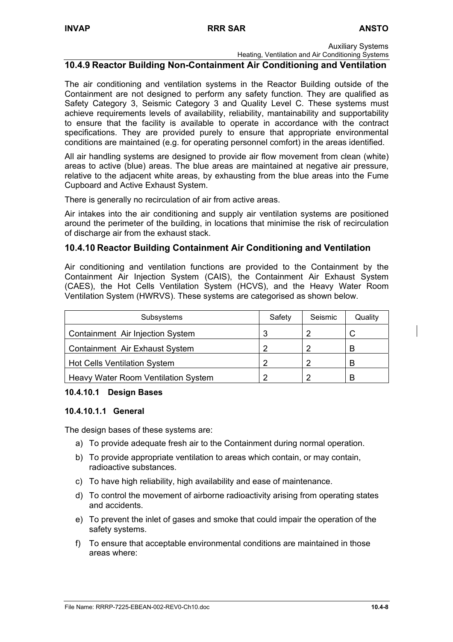Heating, Ventilation and Air Conditioning Systems

### **10.4.9 Reactor Building Non-Containment Air Conditioning and Ventilation**

The air conditioning and ventilation systems in the Reactor Building outside of the Containment are not designed to perform any safety function. They are qualified as Safety Category 3, Seismic Category 3 and Quality Level C. These systems must achieve requirements levels of availability, reliability, mantainability and supportability to ensure that the facility is available to operate in accordance with the contract specifications. They are provided purely to ensure that appropriate environmental conditions are maintained (e.g. for operating personnel comfort) in the areas identified.

All air handling systems are designed to provide air flow movement from clean (white) areas to active (blue) areas. The blue areas are maintained at negative air pressure, relative to the adjacent white areas, by exhausting from the blue areas into the Fume Cupboard and Active Exhaust System.

There is generally no recirculation of air from active areas.

Air intakes into the air conditioning and supply air ventilation systems are positioned around the perimeter of the building, in locations that minimise the risk of recirculation of discharge air from the exhaust stack.

### **10.4.10 Reactor Building Containment Air Conditioning and Ventilation**

Air conditioning and ventilation functions are provided to the Containment by the Containment Air Injection System (CAIS), the Containment Air Exhaust System (CAES), the Hot Cells Ventilation System (HCVS), and the Heavy Water Room Ventilation System (HWRVS). These systems are categorised as shown below.

| Subsystems                          | Safety | Seismic | Quality |
|-------------------------------------|--------|---------|---------|
| Containment Air Injection System    | 3      |         |         |
| Containment Air Exhaust System      | 2      | າ       | B       |
| <b>Hot Cells Ventilation System</b> | 2      |         | В       |
| Heavy Water Room Ventilation System |        | ົ       | B       |

#### **10.4.10.1 Design Bases**

#### **10.4.10.1.1 General**

The design bases of these systems are:

- a) To provide adequate fresh air to the Containment during normal operation.
- b) To provide appropriate ventilation to areas which contain, or may contain, radioactive substances.
- c) To have high reliability, high availability and ease of maintenance.
- d) To control the movement of airborne radioactivity arising from operating states and accidents.
- e) To prevent the inlet of gases and smoke that could impair the operation of the safety systems.
- f) To ensure that acceptable environmental conditions are maintained in those areas where: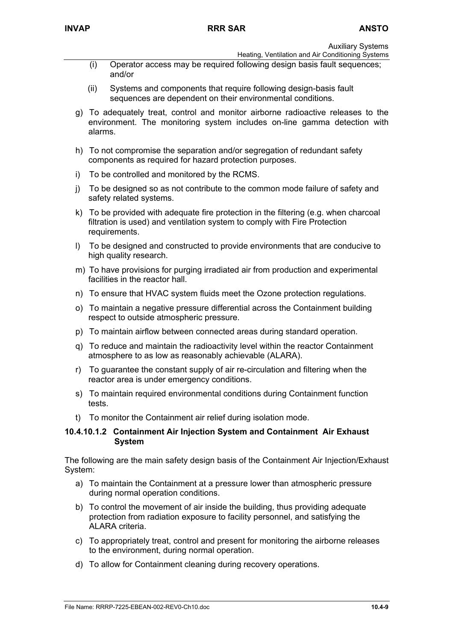- Heating, Ventilation and Air Conditioning Systems
- (i) Operator access may be required following design basis fault sequences; and/or
- (ii) Systems and components that require following design-basis fault sequences are dependent on their environmental conditions.
- g) To adequately treat, control and monitor airborne radioactive releases to the environment. The monitoring system includes on-line gamma detection with alarms.
- h) To not compromise the separation and/or segregation of redundant safety components as required for hazard protection purposes.
- i) To be controlled and monitored by the RCMS.
- j) To be designed so as not contribute to the common mode failure of safety and safety related systems.
- k) To be provided with adequate fire protection in the filtering (e.g. when charcoal filtration is used) and ventilation system to comply with Fire Protection requirements.
- l) To be designed and constructed to provide environments that are conducive to high quality research.
- m) To have provisions for purging irradiated air from production and experimental facilities in the reactor hall.
- n) To ensure that HVAC system fluids meet the Ozone protection regulations.
- o) To maintain a negative pressure differential across the Containment building respect to outside atmospheric pressure.
- p) To maintain airflow between connected areas during standard operation.
- q) To reduce and maintain the radioactivity level within the reactor Containment atmosphere to as low as reasonably achievable (ALARA).
- r) To guarantee the constant supply of air re-circulation and filtering when the reactor area is under emergency conditions.
- s) To maintain required environmental conditions during Containment function tests.
- t) To monitor the Containment air relief during isolation mode.

#### **10.4.10.1.2 Containment Air Injection System and Containment Air Exhaust System**

The following are the main safety design basis of the Containment Air Injection/Exhaust System:

- a) To maintain the Containment at a pressure lower than atmospheric pressure during normal operation conditions.
- b) To control the movement of air inside the building, thus providing adequate protection from radiation exposure to facility personnel, and satisfying the ALARA criteria.
- c) To appropriately treat, control and present for monitoring the airborne releases to the environment, during normal operation.
- d) To allow for Containment cleaning during recovery operations.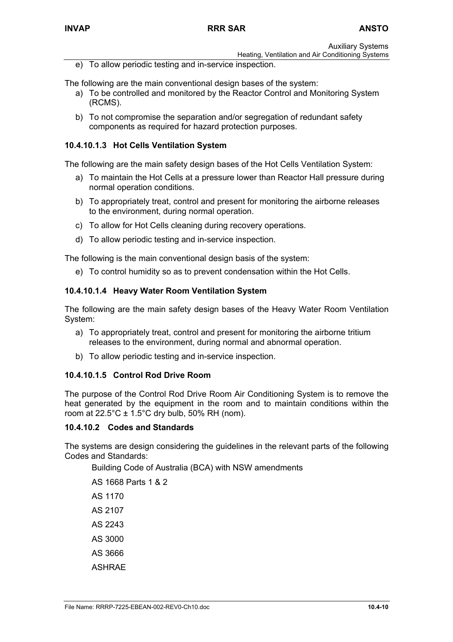Heating, Ventilation and Air Conditioning Systems

e) To allow periodic testing and in-service inspection.

The following are the main conventional design bases of the system:

- a) To be controlled and monitored by the Reactor Control and Monitoring System (RCMS).
- b) To not compromise the separation and/or segregation of redundant safety components as required for hazard protection purposes.

### **10.4.10.1.3 Hot Cells Ventilation System**

The following are the main safety design bases of the Hot Cells Ventilation System:

- a) To maintain the Hot Cells at a pressure lower than Reactor Hall pressure during normal operation conditions.
- b) To appropriately treat, control and present for monitoring the airborne releases to the environment, during normal operation.
- c) To allow for Hot Cells cleaning during recovery operations.
- d) To allow periodic testing and in-service inspection.

The following is the main conventional design basis of the system:

e) To control humidity so as to prevent condensation within the Hot Cells.

#### **10.4.10.1.4 Heavy Water Room Ventilation System**

The following are the main safety design bases of the Heavy Water Room Ventilation System:

- a) To appropriately treat, control and present for monitoring the airborne tritium releases to the environment, during normal and abnormal operation.
- b) To allow periodic testing and in-service inspection.

#### **10.4.10.1.5 Control Rod Drive Room**

The purpose of the Control Rod Drive Room Air Conditioning System is to remove the heat generated by the equipment in the room and to maintain conditions within the room at  $22.5^{\circ}$ C  $\pm$  1.5°C dry bulb, 50% RH (nom).

#### **10.4.10.2 Codes and Standards**

The systems are design considering the guidelines in the relevant parts of the following Codes and Standards:

Building Code of Australia (BCA) with NSW amendments

AS 1668 Parts 1 & 2 AS 1170 AS 2107 AS 2243 AS 3000 AS 3666

ASHRAE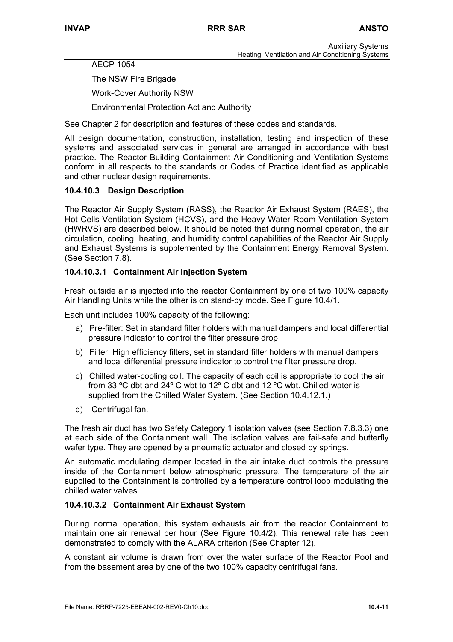AECP 1054

The NSW Fire Brigade

Work-Cover Authority NSW

Environmental Protection Act and Authority

See Chapter 2 for description and features of these codes and standards.

All design documentation, construction, installation, testing and inspection of these systems and associated services in general are arranged in accordance with best practice. The Reactor Building Containment Air Conditioning and Ventilation Systems conform in all respects to the standards or Codes of Practice identified as applicable and other nuclear design requirements.

### **10.4.10.3 Design Description**

The Reactor Air Supply System (RASS), the Reactor Air Exhaust System (RAES), the Hot Cells Ventilation System (HCVS), and the Heavy Water Room Ventilation System (HWRVS) are described below. It should be noted that during normal operation, the air circulation, cooling, heating, and humidity control capabilities of the Reactor Air Supply and Exhaust Systems is supplemented by the Containment Energy Removal System. (See Section 7.8).

### **10.4.10.3.1 Containment Air Injection System**

Fresh outside air is injected into the reactor Containment by one of two 100% capacity Air Handling Units while the other is on stand-by mode. See Figure 10.4/1.

Each unit includes 100% capacity of the following:

- a) Pre-filter: Set in standard filter holders with manual dampers and local differential pressure indicator to control the filter pressure drop.
- b) Filter: High efficiency filters, set in standard filter holders with manual dampers and local differential pressure indicator to control the filter pressure drop.
- c) Chilled water-cooling coil. The capacity of each coil is appropriate to cool the air from 33 ºC dbt and 24º C wbt to 12º C dbt and 12 ºC wbt. Chilled-water is supplied from the Chilled Water System. (See Section 10.4.12.1.)
- d) Centrifugal fan.

The fresh air duct has two Safety Category 1 isolation valves (see Section 7.8.3.3) one at each side of the Containment wall. The isolation valves are fail-safe and butterfly wafer type. They are opened by a pneumatic actuator and closed by springs.

An automatic modulating damper located in the air intake duct controls the pressure inside of the Containment below atmospheric pressure. The temperature of the air supplied to the Containment is controlled by a temperature control loop modulating the chilled water valves.

#### **10.4.10.3.2 Containment Air Exhaust System**

During normal operation, this system exhausts air from the reactor Containment to maintain one air renewal per hour (See Figure 10.4/2). This renewal rate has been demonstrated to comply with the ALARA criterion (See Chapter 12).

A constant air volume is drawn from over the water surface of the Reactor Pool and from the basement area by one of the two 100% capacity centrifugal fans.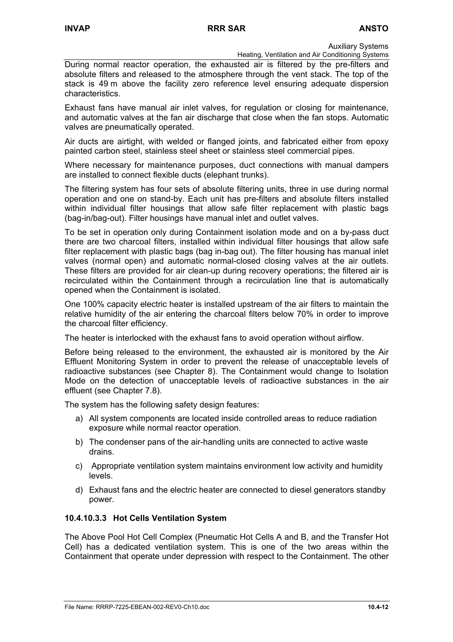Heating, Ventilation and Air Conditioning Systems

During normal reactor operation, the exhausted air is filtered by the pre-filters and absolute filters and released to the atmosphere through the vent stack. The top of the stack is 49 m above the facility zero reference level ensuring adequate dispersion characteristics.

Exhaust fans have manual air inlet valves, for regulation or closing for maintenance, and automatic valves at the fan air discharge that close when the fan stops. Automatic valves are pneumatically operated.

Air ducts are airtight, with welded or flanged joints, and fabricated either from epoxy painted carbon steel, stainless steel sheet or stainless steel commercial pipes.

Where necessary for maintenance purposes, duct connections with manual dampers are installed to connect flexible ducts (elephant trunks).

The filtering system has four sets of absolute filtering units, three in use during normal operation and one on stand-by. Each unit has pre-filters and absolute filters installed within individual filter housings that allow safe filter replacement with plastic bags (bag-in/bag-out). Filter housings have manual inlet and outlet valves.

To be set in operation only during Containment isolation mode and on a by-pass duct there are two charcoal filters, installed within individual filter housings that allow safe filter replacement with plastic bags (bag in-bag out). The filter housing has manual inlet valves (normal open) and automatic normal-closed closing valves at the air outlets. These filters are provided for air clean-up during recovery operations; the filtered air is recirculated within the Containment through a recirculation line that is automatically opened when the Containment is isolated.

One 100% capacity electric heater is installed upstream of the air filters to maintain the relative humidity of the air entering the charcoal filters below 70% in order to improve the charcoal filter efficiency.

The heater is interlocked with the exhaust fans to avoid operation without airflow.

Before being released to the environment, the exhausted air is monitored by the Air Effluent Monitoring System in order to prevent the release of unacceptable levels of radioactive substances (see Chapter 8). The Containment would change to Isolation Mode on the detection of unacceptable levels of radioactive substances in the air effluent (see Chapter 7.8).

The system has the following safety design features:

- a) All system components are located inside controlled areas to reduce radiation exposure while normal reactor operation.
- b) The condenser pans of the air-handling units are connected to active waste drains.
- c) Appropriate ventilation system maintains environment low activity and humidity levels.
- d) Exhaust fans and the electric heater are connected to diesel generators standby power.

#### **10.4.10.3.3 Hot Cells Ventilation System**

The Above Pool Hot Cell Complex (Pneumatic Hot Cells A and B, and the Transfer Hot Cell) has a dedicated ventilation system. This is one of the two areas within the Containment that operate under depression with respect to the Containment. The other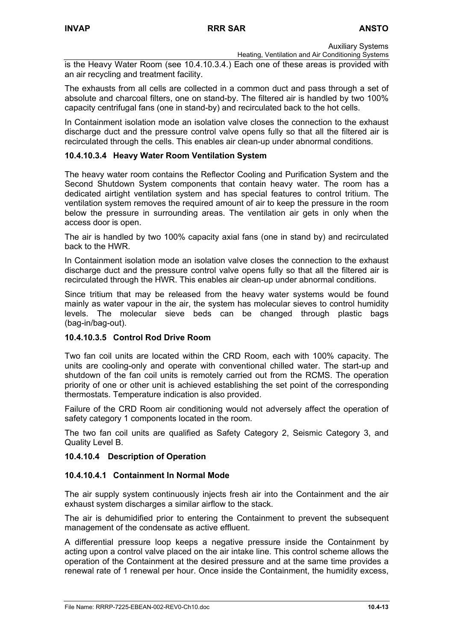Heating, Ventilation and Air Conditioning Systems is the Heavy Water Room (see 10.4.10.3.4.) Each one of these areas is provided with an air recycling and treatment facility.

The exhausts from all cells are collected in a common duct and pass through a set of absolute and charcoal filters, one on stand-by. The filtered air is handled by two 100% capacity centrifugal fans (one in stand-by) and recirculated back to the hot cells.

In Containment isolation mode an isolation valve closes the connection to the exhaust discharge duct and the pressure control valve opens fully so that all the filtered air is recirculated through the cells. This enables air clean-up under abnormal conditions.

# **10.4.10.3.4 Heavy Water Room Ventilation System**

The heavy water room contains the Reflector Cooling and Purification System and the Second Shutdown System components that contain heavy water. The room has a dedicated airtight ventilation system and has special features to control tritium. The ventilation system removes the required amount of air to keep the pressure in the room below the pressure in surrounding areas. The ventilation air gets in only when the access door is open.

The air is handled by two 100% capacity axial fans (one in stand by) and recirculated back to the HWR.

In Containment isolation mode an isolation valve closes the connection to the exhaust discharge duct and the pressure control valve opens fully so that all the filtered air is recirculated through the HWR. This enables air clean-up under abnormal conditions.

Since tritium that may be released from the heavy water systems would be found mainly as water vapour in the air, the system has molecular sieves to control humidity levels. The molecular sieve beds can be changed through plastic bags (bag-in/bag-out).

#### **10.4.10.3.5 Control Rod Drive Room**

Two fan coil units are located within the CRD Room, each with 100% capacity. The units are cooling-only and operate with conventional chilled water. The start-up and shutdown of the fan coil units is remotely carried out from the RCMS. The operation priority of one or other unit is achieved establishing the set point of the corresponding thermostats. Temperature indication is also provided.

Failure of the CRD Room air conditioning would not adversely affect the operation of safety category 1 components located in the room.

The two fan coil units are qualified as Safety Category 2, Seismic Category 3, and Quality Level B.

#### **10.4.10.4 Description of Operation**

#### **10.4.10.4.1 Containment In Normal Mode**

The air supply system continuously injects fresh air into the Containment and the air exhaust system discharges a similar airflow to the stack.

The air is dehumidified prior to entering the Containment to prevent the subsequent management of the condensate as active effluent.

A differential pressure loop keeps a negative pressure inside the Containment by acting upon a control valve placed on the air intake line. This control scheme allows the operation of the Containment at the desired pressure and at the same time provides a renewal rate of 1 renewal per hour. Once inside the Containment, the humidity excess,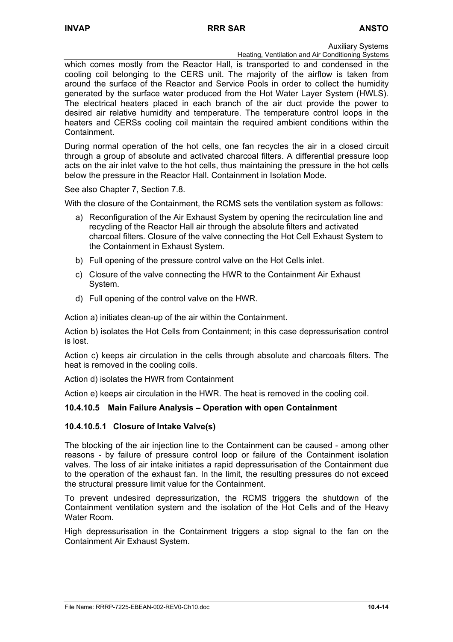Heating, Ventilation and Air Conditioning Systems

which comes mostly from the Reactor Hall, is transported to and condensed in the cooling coil belonging to the CERS unit. The majority of the airflow is taken from around the surface of the Reactor and Service Pools in order to collect the humidity generated by the surface water produced from the Hot Water Layer System (HWLS). The electrical heaters placed in each branch of the air duct provide the power to desired air relative humidity and temperature. The temperature control loops in the heaters and CERSs cooling coil maintain the required ambient conditions within the Containment.

During normal operation of the hot cells, one fan recycles the air in a closed circuit through a group of absolute and activated charcoal filters. A differential pressure loop acts on the air inlet valve to the hot cells, thus maintaining the pressure in the hot cells below the pressure in the Reactor Hall. Containment in Isolation Mode.

See also Chapter 7, Section 7.8.

With the closure of the Containment, the RCMS sets the ventilation system as follows:

- a) Reconfiguration of the Air Exhaust System by opening the recirculation line and recycling of the Reactor Hall air through the absolute filters and activated charcoal filters. Closure of the valve connecting the Hot Cell Exhaust System to the Containment in Exhaust System.
- b) Full opening of the pressure control valve on the Hot Cells inlet.
- c) Closure of the valve connecting the HWR to the Containment Air Exhaust System.
- d) Full opening of the control valve on the HWR.

Action a) initiates clean-up of the air within the Containment.

Action b) isolates the Hot Cells from Containment; in this case depressurisation control is lost.

Action c) keeps air circulation in the cells through absolute and charcoals filters. The heat is removed in the cooling coils.

Action d) isolates the HWR from Containment

Action e) keeps air circulation in the HWR. The heat is removed in the cooling coil.

# **10.4.10.5 Main Failure Analysis – Operation with open Containment**

#### **10.4.10.5.1 Closure of Intake Valve(s)**

The blocking of the air injection line to the Containment can be caused - among other reasons - by failure of pressure control loop or failure of the Containment isolation valves. The loss of air intake initiates a rapid depressurisation of the Containment due to the operation of the exhaust fan. In the limit, the resulting pressures do not exceed the structural pressure limit value for the Containment.

To prevent undesired depressurization, the RCMS triggers the shutdown of the Containment ventilation system and the isolation of the Hot Cells and of the Heavy Water Room.

High depressurisation in the Containment triggers a stop signal to the fan on the Containment Air Exhaust System.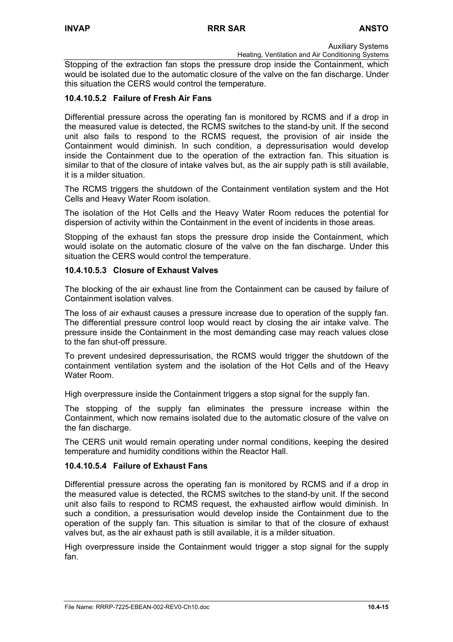Heating, Ventilation and Air Conditioning Systems

Stopping of the extraction fan stops the pressure drop inside the Containment, which would be isolated due to the automatic closure of the valve on the fan discharge. Under this situation the CERS would control the temperature.

### **10.4.10.5.2 Failure of Fresh Air Fans**

Differential pressure across the operating fan is monitored by RCMS and if a drop in the measured value is detected, the RCMS switches to the stand-by unit. If the second unit also fails to respond to the RCMS request, the provision of air inside the Containment would diminish. In such condition, a depressurisation would develop inside the Containment due to the operation of the extraction fan. This situation is similar to that of the closure of intake valves but, as the air supply path is still available, it is a milder situation.

The RCMS triggers the shutdown of the Containment ventilation system and the Hot Cells and Heavy Water Room isolation.

The isolation of the Hot Cells and the Heavy Water Room reduces the potential for dispersion of activity within the Containment in the event of incidents in those areas.

Stopping of the exhaust fan stops the pressure drop inside the Containment, which would isolate on the automatic closure of the valve on the fan discharge. Under this situation the CERS would control the temperature.

### **10.4.10.5.3 Closure of Exhaust Valves**

The blocking of the air exhaust line from the Containment can be caused by failure of Containment isolation valves.

The loss of air exhaust causes a pressure increase due to operation of the supply fan. The differential pressure control loop would react by closing the air intake valve. The pressure inside the Containment in the most demanding case may reach values close to the fan shut-off pressure.

To prevent undesired depressurisation, the RCMS would trigger the shutdown of the containment ventilation system and the isolation of the Hot Cells and of the Heavy Water Room.

High overpressure inside the Containment triggers a stop signal for the supply fan.

The stopping of the supply fan eliminates the pressure increase within the Containment, which now remains isolated due to the automatic closure of the valve on the fan discharge.

The CERS unit would remain operating under normal conditions, keeping the desired temperature and humidity conditions within the Reactor Hall.

#### **10.4.10.5.4 Failure of Exhaust Fans**

Differential pressure across the operating fan is monitored by RCMS and if a drop in the measured value is detected, the RCMS switches to the stand-by unit. If the second unit also fails to respond to RCMS request, the exhausted airflow would diminish. In such a condition, a pressurisation would develop inside the Containment due to the operation of the supply fan. This situation is similar to that of the closure of exhaust valves but, as the air exhaust path is still available, it is a milder situation.

High overpressure inside the Containment would trigger a stop signal for the supply fan.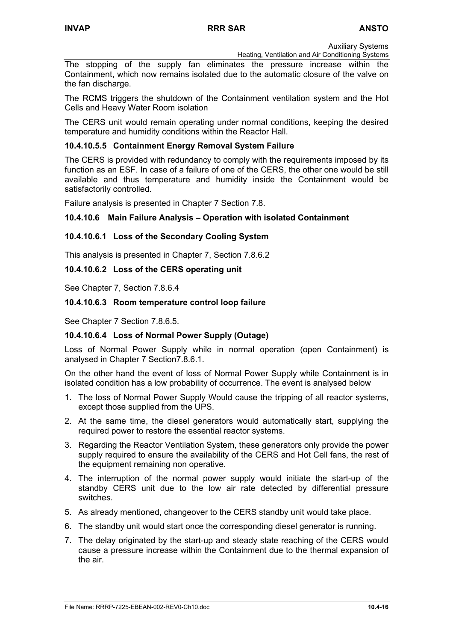Heating, Ventilation and Air Conditioning Systems

The stopping of the supply fan eliminates the pressure increase within the Containment, which now remains isolated due to the automatic closure of the valve on the fan discharge.

The RCMS triggers the shutdown of the Containment ventilation system and the Hot Cells and Heavy Water Room isolation

The CERS unit would remain operating under normal conditions, keeping the desired temperature and humidity conditions within the Reactor Hall.

### **10.4.10.5.5 Containment Energy Removal System Failure**

The CERS is provided with redundancy to comply with the requirements imposed by its function as an ESF. In case of a failure of one of the CERS, the other one would be still available and thus temperature and humidity inside the Containment would be satisfactorily controlled.

Failure analysis is presented in Chapter 7 Section 7.8.

#### **10.4.10.6 Main Failure Analysis – Operation with isolated Containment**

### **10.4.10.6.1 Loss of the Secondary Cooling System**

This analysis is presented in Chapter 7, Section 7.8.6.2

#### **10.4.10.6.2 Loss of the CERS operating unit**

See Chapter 7, Section 7.8.6.4

#### **10.4.10.6.3 Room temperature control loop failure**

See Chapter 7 Section 7.8.6.5.

#### **10.4.10.6.4 Loss of Normal Power Supply (Outage)**

Loss of Normal Power Supply while in normal operation (open Containment) is analysed in Chapter 7 Section7.8.6.1.

On the other hand the event of loss of Normal Power Supply while Containment is in isolated condition has a low probability of occurrence. The event is analysed below

- 1. The loss of Normal Power Supply Would cause the tripping of all reactor systems, except those supplied from the UPS.
- 2. At the same time, the diesel generators would automatically start, supplying the required power to restore the essential reactor systems.
- 3. Regarding the Reactor Ventilation System, these generators only provide the power supply required to ensure the availability of the CERS and Hot Cell fans, the rest of the equipment remaining non operative.
- 4. The interruption of the normal power supply would initiate the start-up of the standby CERS unit due to the low air rate detected by differential pressure switches.
- 5. As already mentioned, changeover to the CERS standby unit would take place.
- 6. The standby unit would start once the corresponding diesel generator is running.
- 7. The delay originated by the start-up and steady state reaching of the CERS would cause a pressure increase within the Containment due to the thermal expansion of the air.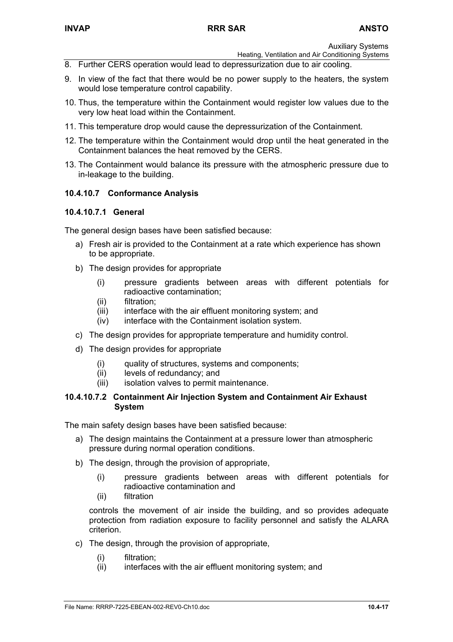Heating, Ventilation and Air Conditioning Systems

- 8. Further CERS operation would lead to depressurization due to air cooling.
- 9. In view of the fact that there would be no power supply to the heaters, the system would lose temperature control capability.
- 10. Thus, the temperature within the Containment would register low values due to the very low heat load within the Containment.
- 11. This temperature drop would cause the depressurization of the Containment.
- 12. The temperature within the Containment would drop until the heat generated in the Containment balances the heat removed by the CERS.
- 13. The Containment would balance its pressure with the atmospheric pressure due to in-leakage to the building.

# **10.4.10.7 Conformance Analysis**

### **10.4.10.7.1 General**

The general design bases have been satisfied because:

- a) Fresh air is provided to the Containment at a rate which experience has shown to be appropriate.
- b) The design provides for appropriate
	- (i) pressure gradients between areas with different potentials for radioactive contamination;
	- (ii) filtration;
	- (iii) interface with the air effluent monitoring system; and
	- (iv) interface with the Containment isolation system.
- c) The design provides for appropriate temperature and humidity control.
- d) The design provides for appropriate
	- (i) quality of structures, systems and components;
	- (ii) levels of redundancy; and
	- (iii) isolation valves to permit maintenance.

#### **10.4.10.7.2 Containment Air Injection System and Containment Air Exhaust System**

The main safety design bases have been satisfied because:

- a) The design maintains the Containment at a pressure lower than atmospheric pressure during normal operation conditions.
- b) The design, through the provision of appropriate,
	- (i) pressure gradients between areas with different potentials for radioactive contamination and
	- (ii) filtration

controls the movement of air inside the building, and so provides adequate protection from radiation exposure to facility personnel and satisfy the ALARA criterion.

- c) The design, through the provision of appropriate,
	- (i) filtration;
	- (ii) interfaces with the air effluent monitoring system; and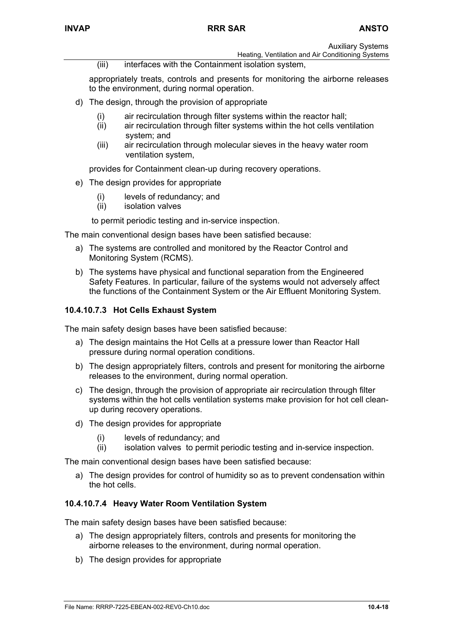Heating, Ventilation and Air Conditioning Systems

(iii) interfaces with the Containment isolation system,

appropriately treats, controls and presents for monitoring the airborne releases to the environment, during normal operation.

- d) The design, through the provision of appropriate
	- (i) air recirculation through filter systems within the reactor hall;
	- (ii) air recirculation through filter systems within the hot cells ventilation system; and
	- (iii) air recirculation through molecular sieves in the heavy water room ventilation system,

provides for Containment clean-up during recovery operations.

- e) The design provides for appropriate
	- (i) levels of redundancy; and
	- (ii) isolation valves

to permit periodic testing and in-service inspection.

The main conventional design bases have been satisfied because:

- a) The systems are controlled and monitored by the Reactor Control and Monitoring System (RCMS).
- b) The systems have physical and functional separation from the Engineered Safety Features. In particular, failure of the systems would not adversely affect the functions of the Containment System or the Air Effluent Monitoring System.

### **10.4.10.7.3 Hot Cells Exhaust System**

The main safety design bases have been satisfied because:

- a) The design maintains the Hot Cells at a pressure lower than Reactor Hall pressure during normal operation conditions.
- b) The design appropriately filters, controls and present for monitoring the airborne releases to the environment, during normal operation.
- c) The design, through the provision of appropriate air recirculation through filter systems within the hot cells ventilation systems make provision for hot cell cleanup during recovery operations.
- d) The design provides for appropriate
	- (i) levels of redundancy; and
	- (ii) isolation valves to permit periodic testing and in-service inspection.

The main conventional design bases have been satisfied because:

a) The design provides for control of humidity so as to prevent condensation within the hot cells.

#### **10.4.10.7.4 Heavy Water Room Ventilation System**

The main safety design bases have been satisfied because:

- a) The design appropriately filters, controls and presents for monitoring the airborne releases to the environment, during normal operation.
- b) The design provides for appropriate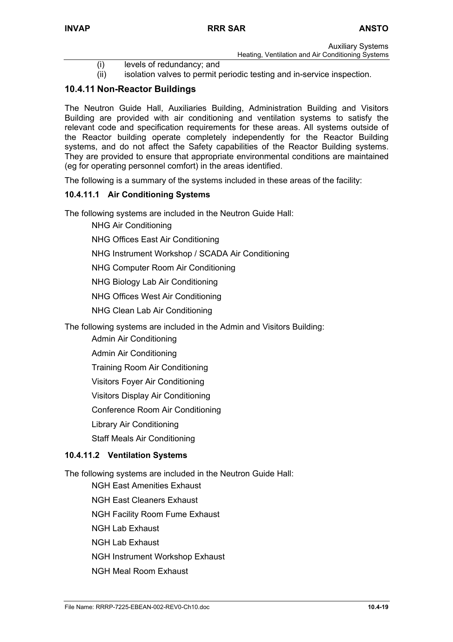- Auxiliary Systems Heating, Ventilation and Air Conditioning Systems
- (i) levels of redundancy; and
- (ii) isolation valves to permit periodic testing and in-service inspection.

# **10.4.11 Non-Reactor Buildings**

The Neutron Guide Hall, Auxiliaries Building, Administration Building and Visitors Building are provided with air conditioning and ventilation systems to satisfy the relevant code and specification requirements for these areas. All systems outside of the Reactor building operate completely independently for the Reactor Building systems, and do not affect the Safety capabilities of the Reactor Building systems. They are provided to ensure that appropriate environmental conditions are maintained (eg for operating personnel comfort) in the areas identified.

The following is a summary of the systems included in these areas of the facility:

# **10.4.11.1 Air Conditioning Systems**

The following systems are included in the Neutron Guide Hall:

- NHG Air Conditioning
- NHG Offices East Air Conditioning

NHG Instrument Workshop / SCADA Air Conditioning

NHG Computer Room Air Conditioning

NHG Biology Lab Air Conditioning

NHG Offices West Air Conditioning

NHG Clean Lab Air Conditioning

The following systems are included in the Admin and Visitors Building:

Admin Air Conditioning

Admin Air Conditioning

Training Room Air Conditioning

Visitors Foyer Air Conditioning

Visitors Display Air Conditioning

Conference Room Air Conditioning

Library Air Conditioning

Staff Meals Air Conditioning

#### **10.4.11.2 Ventilation Systems**

The following systems are included in the Neutron Guide Hall:

NGH East Amenities Exhaust

NGH East Cleaners Exhaust

NGH Facility Room Fume Exhaust

- NGH Lab Exhaust
- NGH Lab Exhaust

NGH Instrument Workshop Exhaust

NGH Meal Room Exhaust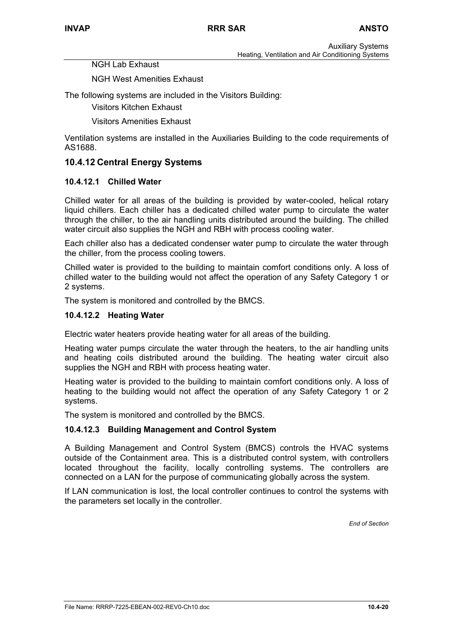NGH Lab Exhaust

NGH West Amenities Exhaust

The following systems are included in the Visitors Building:

Visitors Kitchen Exhaust

Visitors Amenities Exhaust

Ventilation systems are installed in the Auxiliaries Building to the code requirements of AS1688.

### **10.4.12 Central Energy Systems**

#### **10.4.12.1 Chilled Water**

Chilled water for all areas of the building is provided by water-cooled, helical rotary liquid chillers. Each chiller has a dedicated chilled water pump to circulate the water through the chiller, to the air handling units distributed around the building. The chilled water circuit also supplies the NGH and RBH with process cooling water.

Each chiller also has a dedicated condenser water pump to circulate the water through the chiller, from the process cooling towers.

Chilled water is provided to the building to maintain comfort conditions only. A loss of chilled water to the building would not affect the operation of any Safety Category 1 or 2 systems.

The system is monitored and controlled by the BMCS.

#### **10.4.12.2 Heating Water**

Electric water heaters provide heating water for all areas of the building.

Heating water pumps circulate the water through the heaters, to the air handling units and heating coils distributed around the building. The heating water circuit also supplies the NGH and RBH with process heating water.

Heating water is provided to the building to maintain comfort conditions only. A loss of heating to the building would not affect the operation of any Safety Category 1 or 2 systems.

The system is monitored and controlled by the BMCS.

#### **10.4.12.3 Building Management and Control System**

A Building Management and Control System (BMCS) controls the HVAC systems outside of the Containment area. This is a distributed control system, with controllers located throughout the facility, locally controlling systems. The controllers are connected on a LAN for the purpose of communicating globally across the system.

If LAN communication is lost, the local controller continues to control the systems with the parameters set locally in the controller.

*End of Section*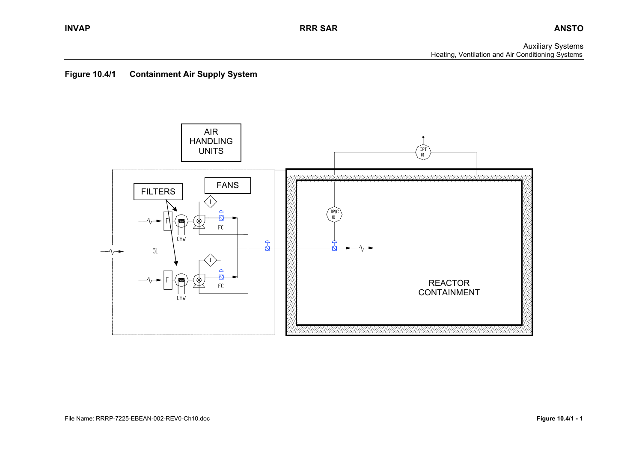Auxiliary Systems Heating, Ventilation and Air Conditioning Systems



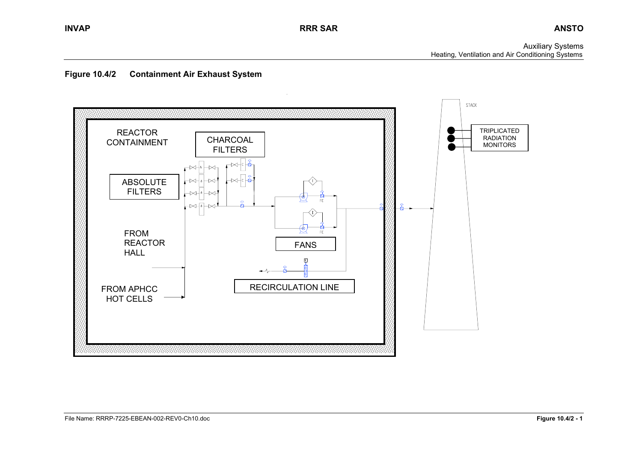Auxiliary Systems Heating, Ventilation and Air Conditioning Systems



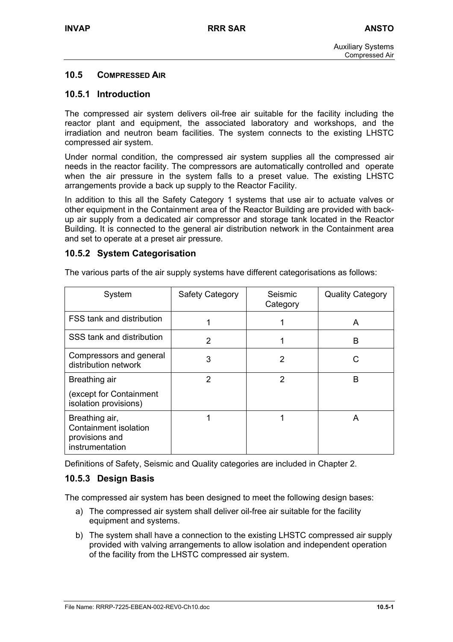# **10.5 COMPRESSED AIR**

### **10.5.1 Introduction**

The compressed air system delivers oil-free air suitable for the facility including the reactor plant and equipment, the associated laboratory and workshops, and the irradiation and neutron beam facilities. The system connects to the existing LHSTC compressed air system.

Under normal condition, the compressed air system supplies all the compressed air needs in the reactor facility. The compressors are automatically controlled and operate when the air pressure in the system falls to a preset value. The existing LHSTC arrangements provide a back up supply to the Reactor Facility.

In addition to this all the Safety Category 1 systems that use air to actuate valves or other equipment in the Containment area of the Reactor Building are provided with backup air supply from a dedicated air compressor and storage tank located in the Reactor Building. It is connected to the general air distribution network in the Containment area and set to operate at a preset air pressure.

#### **10.5.2 System Categorisation**

| System                                                                       | Safety Category | Seismic<br>Category | <b>Quality Category</b> |
|------------------------------------------------------------------------------|-----------------|---------------------|-------------------------|
| FSS tank and distribution                                                    | 1               |                     | A                       |
| SSS tank and distribution                                                    | $\mathcal{P}$   |                     | B                       |
| Compressors and general<br>distribution network                              | 3               | 2                   |                         |
| Breathing air                                                                | 2               | 2                   | B                       |
| (except for Containment<br>isolation provisions)                             |                 |                     |                         |
| Breathing air,<br>Containment isolation<br>provisions and<br>instrumentation |                 |                     | A                       |

The various parts of the air supply systems have different categorisations as follows:

Definitions of Safety, Seismic and Quality categories are included in Chapter 2.

# **10.5.3 Design Basis**

The compressed air system has been designed to meet the following design bases:

- a) The compressed air system shall deliver oil-free air suitable for the facility equipment and systems.
- b) The system shall have a connection to the existing LHSTC compressed air supply provided with valving arrangements to allow isolation and independent operation of the facility from the LHSTC compressed air system.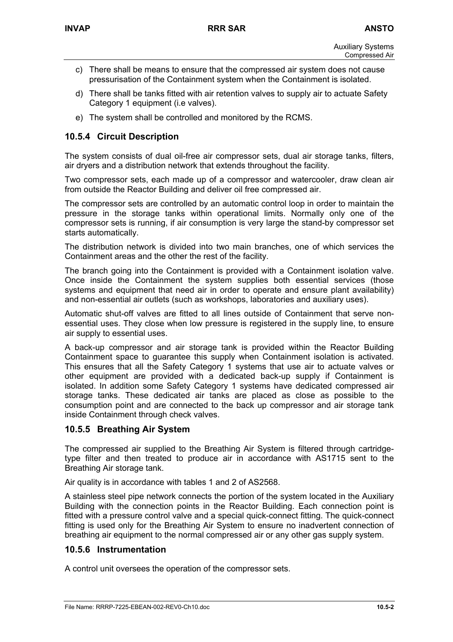- c) There shall be means to ensure that the compressed air system does not cause pressurisation of the Containment system when the Containment is isolated.
- d) There shall be tanks fitted with air retention valves to supply air to actuate Safety Category 1 equipment (i.e valves).
- e) The system shall be controlled and monitored by the RCMS.

# **10.5.4 Circuit Description**

The system consists of dual oil-free air compressor sets, dual air storage tanks, filters, air dryers and a distribution network that extends throughout the facility.

Two compressor sets, each made up of a compressor and watercooler, draw clean air from outside the Reactor Building and deliver oil free compressed air.

The compressor sets are controlled by an automatic control loop in order to maintain the pressure in the storage tanks within operational limits. Normally only one of the compressor sets is running, if air consumption is very large the stand-by compressor set starts automatically.

The distribution network is divided into two main branches, one of which services the Containment areas and the other the rest of the facility.

The branch going into the Containment is provided with a Containment isolation valve. Once inside the Containment the system supplies both essential services (those systems and equipment that need air in order to operate and ensure plant availability) and non-essential air outlets (such as workshops, laboratories and auxiliary uses).

Automatic shut-off valves are fitted to all lines outside of Containment that serve nonessential uses. They close when low pressure is registered in the supply line, to ensure air supply to essential uses.

A back-up compressor and air storage tank is provided within the Reactor Building Containment space to guarantee this supply when Containment isolation is activated. This ensures that all the Safety Category 1 systems that use air to actuate valves or other equipment are provided with a dedicated back-up supply if Containment is isolated. In addition some Safety Category 1 systems have dedicated compressed air storage tanks. These dedicated air tanks are placed as close as possible to the consumption point and are connected to the back up compressor and air storage tank inside Containment through check valves.

# **10.5.5 Breathing Air System**

The compressed air supplied to the Breathing Air System is filtered through cartridgetype filter and then treated to produce air in accordance with AS1715 sent to the Breathing Air storage tank.

Air quality is in accordance with tables 1 and 2 of AS2568.

A stainless steel pipe network connects the portion of the system located in the Auxiliary Building with the connection points in the Reactor Building. Each connection point is fitted with a pressure control valve and a special quick-connect fitting. The quick-connect fitting is used only for the Breathing Air System to ensure no inadvertent connection of breathing air equipment to the normal compressed air or any other gas supply system.

# **10.5.6 Instrumentation**

A control unit oversees the operation of the compressor sets.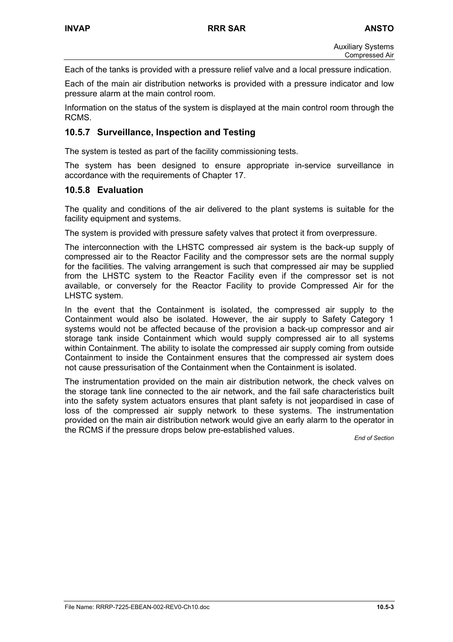Each of the tanks is provided with a pressure relief valve and a local pressure indication.

Each of the main air distribution networks is provided with a pressure indicator and low pressure alarm at the main control room.

Information on the status of the system is displayed at the main control room through the RCMS.

## **10.5.7 Surveillance, Inspection and Testing**

The system is tested as part of the facility commissioning tests.

The system has been designed to ensure appropriate in-service surveillance in accordance with the requirements of Chapter 17.

#### **10.5.8 Evaluation**

The quality and conditions of the air delivered to the plant systems is suitable for the facility equipment and systems.

The system is provided with pressure safety valves that protect it from overpressure.

The interconnection with the LHSTC compressed air system is the back-up supply of compressed air to the Reactor Facility and the compressor sets are the normal supply for the facilities. The valving arrangement is such that compressed air may be supplied from the LHSTC system to the Reactor Facility even if the compressor set is not available, or conversely for the Reactor Facility to provide Compressed Air for the LHSTC system.

In the event that the Containment is isolated, the compressed air supply to the Containment would also be isolated. However, the air supply to Safety Category 1 systems would not be affected because of the provision a back-up compressor and air storage tank inside Containment which would supply compressed air to all systems within Containment. The ability to isolate the compressed air supply coming from outside Containment to inside the Containment ensures that the compressed air system does not cause pressurisation of the Containment when the Containment is isolated.

The instrumentation provided on the main air distribution network, the check valves on the storage tank line connected to the air network, and the fail safe characteristics built into the safety system actuators ensures that plant safety is not jeopardised in case of loss of the compressed air supply network to these systems. The instrumentation provided on the main air distribution network would give an early alarm to the operator in the RCMS if the pressure drops below pre-established values.

*End of Section*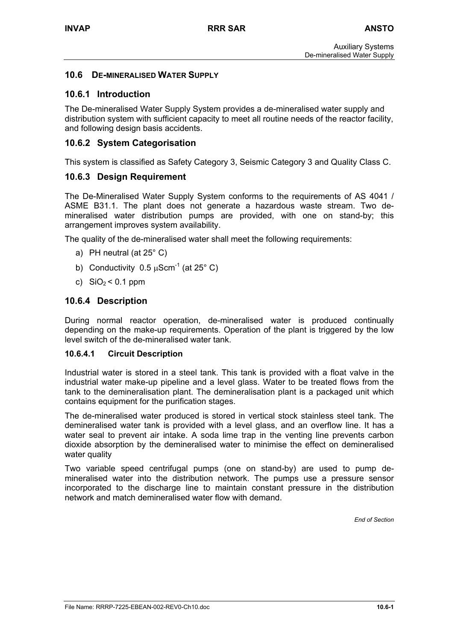## **10.6 DE-MINERALISED WATER SUPPLY**

## **10.6.1 Introduction**

The De-mineralised Water Supply System provides a de-mineralised water supply and distribution system with sufficient capacity to meet all routine needs of the reactor facility, and following design basis accidents.

# **10.6.2 System Categorisation**

This system is classified as Safety Category 3, Seismic Category 3 and Quality Class C.

# **10.6.3 Design Requirement**

The De-Mineralised Water Supply System conforms to the requirements of AS 4041 / ASME B31.1. The plant does not generate a hazardous waste stream. Two demineralised water distribution pumps are provided, with one on stand-by; this arrangement improves system availability.

The quality of the de-mineralised water shall meet the following requirements:

- a) PH neutral (at 25° C)
- b) Conductivity  $0.5 \mu$ Scm<sup>-1</sup> (at 25 $^{\circ}$  C)
- c)  $SiO<sub>2</sub> < 0.1$  ppm

# **10.6.4 Description**

During normal reactor operation, de-mineralised water is produced continually depending on the make-up requirements. Operation of the plant is triggered by the low level switch of the de-mineralised water tank.

#### **10.6.4.1 Circuit Description**

Industrial water is stored in a steel tank. This tank is provided with a float valve in the industrial water make-up pipeline and a level glass. Water to be treated flows from the tank to the demineralisation plant. The demineralisation plant is a packaged unit which contains equipment for the purification stages.

The de-mineralised water produced is stored in vertical stock stainless steel tank. The demineralised water tank is provided with a level glass, and an overflow line. It has a water seal to prevent air intake. A soda lime trap in the venting line prevents carbon dioxide absorption by the demineralised water to minimise the effect on demineralised water quality

Two variable speed centrifugal pumps (one on stand-by) are used to pump demineralised water into the distribution network. The pumps use a pressure sensor incorporated to the discharge line to maintain constant pressure in the distribution network and match demineralised water flow with demand.

*End of Section*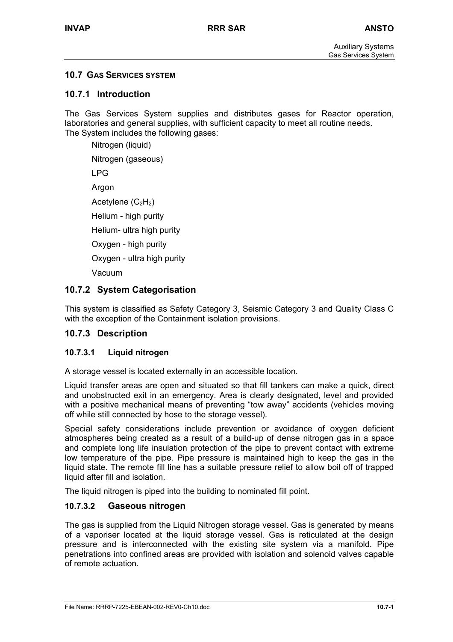## **10.7 GAS SERVICES SYSTEM**

#### **10.7.1 Introduction**

The Gas Services System supplies and distributes gases for Reactor operation, laboratories and general supplies, with sufficient capacity to meet all routine needs. The System includes the following gases:

Nitrogen (liquid)

Nitrogen (gaseous)

LPG

Argon

Acetylene  $(C_2H_2)$ 

Helium - high purity

Helium- ultra high purity

Oxygen - high purity

Oxygen - ultra high purity

Vacuum

# **10.7.2 System Categorisation**

This system is classified as Safety Category 3, Seismic Category 3 and Quality Class C with the exception of the Containment isolation provisions.

## **10.7.3 Description**

## **10.7.3.1 Liquid nitrogen**

A storage vessel is located externally in an accessible location.

Liquid transfer areas are open and situated so that fill tankers can make a quick, direct and unobstructed exit in an emergency. Area is clearly designated, level and provided with a positive mechanical means of preventing "tow away" accidents (vehicles moving off while still connected by hose to the storage vessel).

Special safety considerations include prevention or avoidance of oxygen deficient atmospheres being created as a result of a build-up of dense nitrogen gas in a space and complete long life insulation protection of the pipe to prevent contact with extreme low temperature of the pipe. Pipe pressure is maintained high to keep the gas in the liquid state. The remote fill line has a suitable pressure relief to allow boil off of trapped liquid after fill and isolation.

The liquid nitrogen is piped into the building to nominated fill point.

## **10.7.3.2 Gaseous nitrogen**

The gas is supplied from the Liquid Nitrogen storage vessel. Gas is generated by means of a vaporiser located at the liquid storage vessel. Gas is reticulated at the design pressure and is interconnected with the existing site system via a manifold. Pipe penetrations into confined areas are provided with isolation and solenoid valves capable of remote actuation.